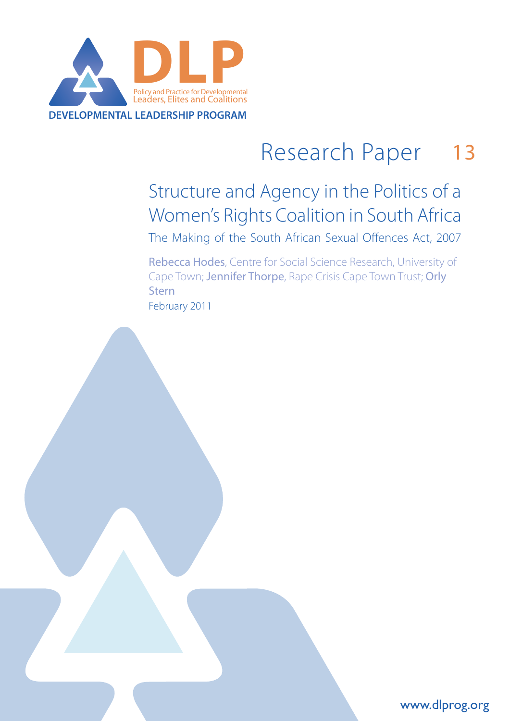

### Research Paper 13

# Structure and Agency in the Politics of a Women's Rights Coalition in South Africa

The Making of the South African Sexual Offences Act, 2007

Rebecca Hodes, Centre for Social Science Research, University of Cape Town; Jennifer Thorpe, Rape Crisis Cape Town Trust; Orly Stern February 2011

www.dlprog.org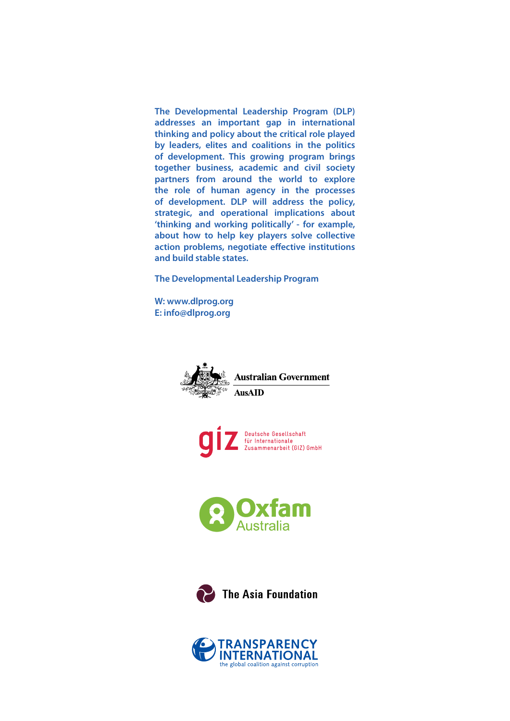**The Developmental Leadership Program (DLP) addresses an important gap in international thinking and policy about the critical role played by leaders, elites and coalitions in the politics of development. This growing program brings together business, academic and civil society partners from around the world to explore the role of human agency in the processes of development. DLP will address the policy, strategic, and operational implications about 'thinking and working politically' - for example, about how to help key players solve collective**  action problems, negotiate effective institutions **and build stable states.**

**The Developmental Leadership Program**

**W: www.dlprog.org E: info@dlprog.org**









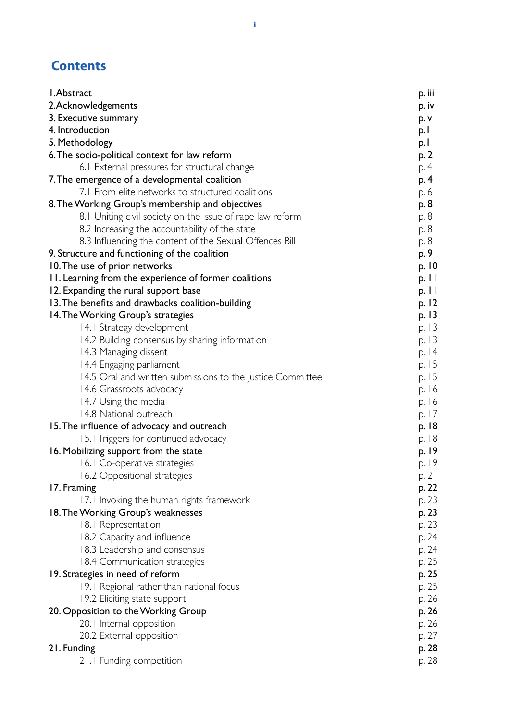# **Contents**

| <b>I.Abstract</b>                                          | p. iii         |
|------------------------------------------------------------|----------------|
| 2.Acknowledgements                                         | p. iv          |
| 3. Executive summary                                       | p. v           |
| 4. Introduction                                            | p. I           |
| 5. Methodology                                             | p. I           |
| 6. The socio-political context for law reform              | p. 2           |
| 6.1 External pressures for structural change               | p. 4           |
| 7. The emergence of a developmental coalition              | p.4            |
| 7.1 From elite networks to structured coalitions           | p. 6           |
| 8. The Working Group's membership and objectives           | p. 8           |
| 8.1 Uniting civil society on the issue of rape law reform  | p. 8           |
| 8.2 Increasing the accountability of the state             | p. 8           |
| 8.3 Influencing the content of the Sexual Offences Bill    | p. 8           |
| 9. Structure and functioning of the coalition              | p. 9           |
| 10. The use of prior networks                              | p. 10          |
| 11. Learning from the experience of former coalitions      | p. 11          |
| 12. Expanding the rural support base                       | p. $  \cdot  $ |
| 13. The benefits and drawbacks coalition-building          | p. 12          |
| 14. The Working Group's strategies                         | p. 13          |
| 14.1 Strategy development                                  | p. 13          |
| 14.2 Building consensus by sharing information             | p. 13          |
| 14.3 Managing dissent                                      | p. 14          |
| 14.4 Engaging parliament                                   | p. 15          |
| 14.5 Oral and written submissions to the Justice Committee | p. 15          |
| 14.6 Grassroots advocacy                                   | p. 16          |
| 14.7 Using the media                                       | p. 16          |
| 14.8 National outreach                                     | p. 17          |
| 15. The influence of advocacy and outreach                 | p. 18          |
| 15.1 Triggers for continued advocacy                       | p. 18          |
| 16. Mobilizing support from the state                      | p. 19          |
| 16.1 Co-operative strategies                               | p. 19          |
| 16.2 Oppositional strategies                               | p.21           |
| 17. Framing                                                | p. 22          |
| 17.1 Invoking the human rights framework                   | p. 23          |
| 18. The Working Group's weaknesses                         | p. 23          |
| 18.1 Representation                                        | p. 23          |
| 18.2 Capacity and influence                                | p. 24          |
| 18.3 Leadership and consensus                              | p. 24          |
| 18.4 Communication strategies                              | p. 25          |
| 19. Strategies in need of reform                           | p. 25          |
| 19.1 Regional rather than national focus                   | p. 25          |
| 19.2 Eliciting state support                               | p. 26          |
| 20. Opposition to the Working Group                        | p. 26          |
| 20.1 Internal opposition                                   | p. 26          |
| 20.2 External opposition                                   | p. 27          |
| 21. Funding                                                | p. 28          |
| 21.1 Funding competition                                   | p. 28          |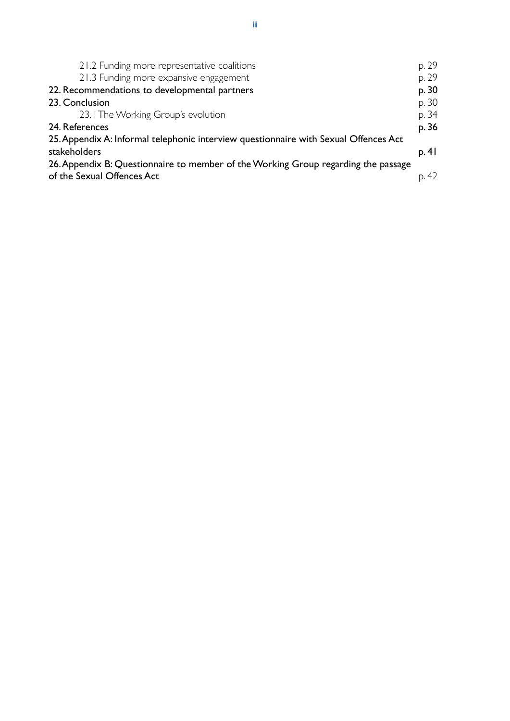| 21.2 Funding more representative coalitions                                          | p. 29 |
|--------------------------------------------------------------------------------------|-------|
| 21.3 Funding more expansive engagement                                               | p. 29 |
| 22. Recommendations to developmental partners                                        | p. 30 |
| 23. Conclusion                                                                       | p. 30 |
| 23.1 The Working Group's evolution                                                   | p. 34 |
| 24. References                                                                       | p. 36 |
| 25. Appendix A: Informal telephonic interview questionnaire with Sexual Offences Act |       |
| stakeholders                                                                         | p. 41 |
| 26. Appendix B: Questionnaire to member of the Working Group regarding the passage   |       |
| of the Sexual Offences Act                                                           | p. 42 |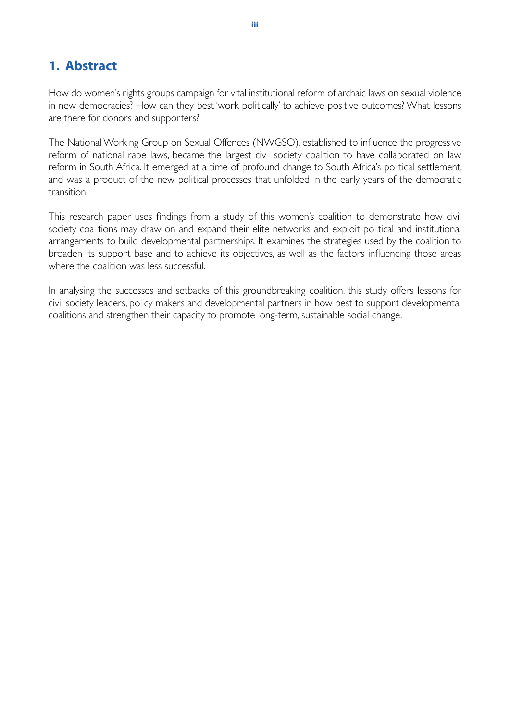# 1. Abstract

How do women's rights groups campaign for vital institutional reform of archaic laws on sexual violence in new democracies? How can they best 'work politically' to achieve positive outcomes? What lessons are there for donors and supporters?

The National Working Group on Sexual Offences (NWGSO), established to influence the progressive reform of national rape laws, became the largest civil society coalition to have collaborated on law reform in South Africa. It emerged at a time of profound change to South Africa's political settlement, and was a product of the new political processes that unfolded in the early years of the democratic transition.

This research paper uses findings from a study of this women's coalition to demonstrate how civil society coalitions may draw on and expand their elite networks and exploit political and institutional arrangements to build developmental partnerships. It examines the strategies used by the coalition to broaden its support base and to achieve its objectives, as well as the factors influencing those areas where the coalition was less successful.

In analysing the successes and setbacks of this groundbreaking coalition, this study offers lessons for civil society leaders, policy makers and developmental partners in how best to support developmental coalitions and strengthen their capacity to promote long-term, sustainable social change.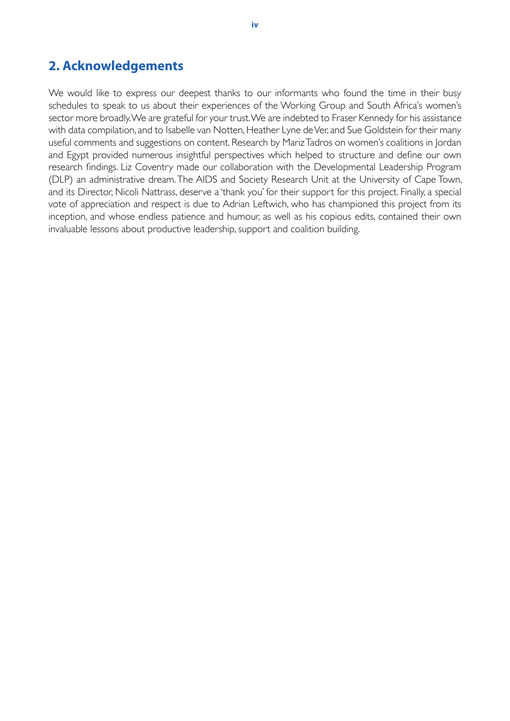### **2. Acknowledgements**

We would like to express our deepest thanks to our informants who found the time in their busy schedules to speak to us about their experiences of the Working Group and South Africa's women's sector more broadly. We are grateful for your trust. We are indebted to Fraser Kennedy for his assistance with data compilation, and to Isabelle van Notten, Heather Lyne de Ver, and Sue Goldstein for their many useful comments and suggestions on content. Research by Mariz Tadros on women's coalitions in Jordan and Egypt provided numerous insightful perspectives which helped to structure and define our own research findings. Liz Coventry made our collaboration with the Developmental Leadership Program (DLP) an administrative dream. The AIDS and Society Research Unit at the University of Cape Town, and its Director, Nicoli Nattrass, deserve a 'thank you' for their support for this project. Finally, a special vote of appreciation and respect is due to Adrian Leftwich, who has championed this project from its inception, and whose endless patience and humour, as well as his copious edits, contained their own invaluable lessons about productive leadership, support and coalition building.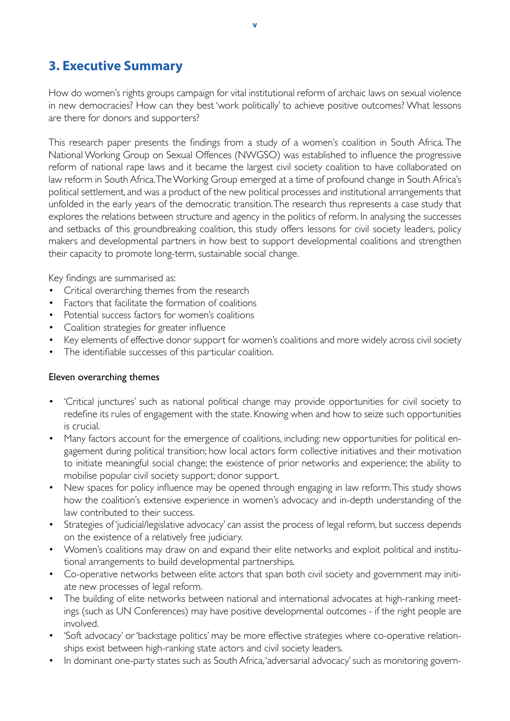### **3. Executive Summary**

How do women's rights groups campaign for vital institutional reform of archaic laws on sexual violence in new democracies? How can they best 'work politically' to achieve positive outcomes? What lessons are there for donors and supporters?

This research paper presents the findings from a study of a women's coalition in South Africa. The National Working Group on Sexual Offences (NWGSO) was established to influence the progressive reform of national rape laws and it became the largest civil society coalition to have collaborated on law reform in South Africa. The Working Group emerged at a time of profound change in South Africa's political settlement, and was a product of the new political processes and institutional arrangements that unfolded in the early years of the democratic transition. The research thus represents a case study that explores the relations between structure and agency in the politics of reform. In analysing the successes and setbacks of this groundbreaking coalition, this study offers lessons for civil society leaders, policy makers and developmental partners in how best to support developmental coalitions and strengthen their capacity to promote long-term, sustainable social change.

Key findings are summarised as:

- Critical overarching themes from the research
- Factors that facilitate the formation of coalitions  $\bullet$
- Potential success factors for women's coalitions
- Coalition strategies for greater influence
- Key elements of effective donor support for women's coalitions and more widely across civil society
- The identifiable successes of this particular coalition.

#### Eleven overarching themes

- 'Critical junctures' such as national political change may provide opportunities for civil society to redefine its rules of engagement with the state. Knowing when and how to seize such opportunities is crucial.
- Many factors account for the emergence of coalitions, including: new opportunities for political engagement during political transition; how local actors form collective initiatives and their motivation to initiate meaningful social change; the existence of prior networks and experience; the ability to mobilise popular civil society support; donor support.
- New spaces for policy influence may be opened through engaging in law reform. This study shows how the coalition's extensive experience in women's advocacy and in-depth understanding of the law contributed to their success.
- Strategies of 'judicial/legislative advocacy' can assist the process of legal reform, but success depends on the existence of a relatively free judiciary.
- Women's coalitions may draw on and expand their elite networks and exploit political and institutional arrangements to build developmental partnerships.
- Co-operative networks between elite actors that span both civil society and government may initiate new processes of legal reform.
- The building of elite networks between national and international advocates at high-ranking meetings (such as UN Conferences) may have positive developmental outcomes - if the right people are involved.
- 'Soft advocacy' or 'backstage politics' may be more effective strategies where co-operative relationships exist between high-ranking state actors and civil society leaders.
- In dominant one-party states such as South Africa, 'adversarial advocacy' such as monitoring govern-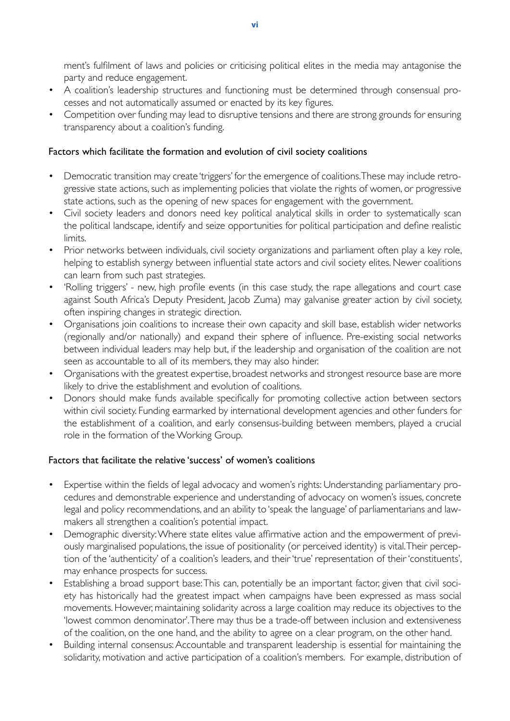ment's fulfilment of laws and policies or criticising political elites in the media may antagonise the party and reduce engagement.

- A coalition's leadership structures and functioning must be determined through consensual processes and not automatically assumed or enacted by its key figures.
- Competition over funding may lead to disruptive tensions and there are strong grounds for ensuring transparency about a coalition's funding.

#### Factors which facilitate the formation and evolution of civil society coalitions

- Democratic transition may create 'triggers' for the emergence of coalitions. These may include retrogressive state actions, such as implementing policies that violate the rights of women, or progressive state actions, such as the opening of new spaces for engagement with the government.
- Civil society leaders and donors need key political analytical skills in order to systematically scan the political landscape, identify and seize opportunities for political participation and define realistic limits.
- Prior networks between individuals, civil society organizations and parliament often play a key role, helping to establish synergy between influential state actors and civil society elites. Newer coalitions can learn from such past strategies.
- 'Rolling triggers' new, high profile events (in this case study, the rape allegations and court case against South Africa's Deputy President, Jacob Zuma) may galvanise greater action by civil society, often inspiring changes in strategic direction.
- Organisations join coalitions to increase their own capacity and skill base, establish wider networks (regionally and/or nationally) and expand their sphere of influence. Pre-existing social networks between individual leaders may help but, if the leadership and organisation of the coalition are not seen as accountable to all of its members, they may also hinder.
- Organisations with the greatest expertise, broadest networks and strongest resource base are more likely to drive the establishment and evolution of coalitions.
- Donors should make funds available specifically for promoting collective action between sectors within civil society. Funding earmarked by international development agencies and other funders for the establishment of a coalition, and early consensus-building between members, played a crucial role in the formation of the Working Group.

#### Factors that facilitate the relative 'success' of women's coalitions

- Expertise within the fields of legal advocacy and women's rights: Understanding parliamentary procedures and demonstrable experience and understanding of advocacy on women's issues, concrete legal and policy recommendations, and an ability to 'speak the language' of parliamentarians and lawmakers all strengthen a coalition's potential impact.
- Demographic diversity: Where state elites value affirmative action and the empowerment of previously marginalised populations, the issue of positionality (or perceived identity) is vital. Their perception of the 'authenticity' of a coalition's leaders, and their 'true' representation of their 'constituents', may enhance prospects for success.
- Establishing a broad support base: This can, potentially be an important factor, given that civil society has historically had the greatest impact when campaigns have been expressed as mass social movements. However, maintaining solidarity across a large coalition may reduce its objectives to the 'lowest common denominator'. There may thus be a trade-off between inclusion and extensiveness of the coalition, on the one hand, and the ability to agree on a clear program, on the other hand.
- Building internal consensus: Accountable and transparent leadership is essential for maintaining the solidarity, motivation and active participation of a coalition's members. For example, distribution of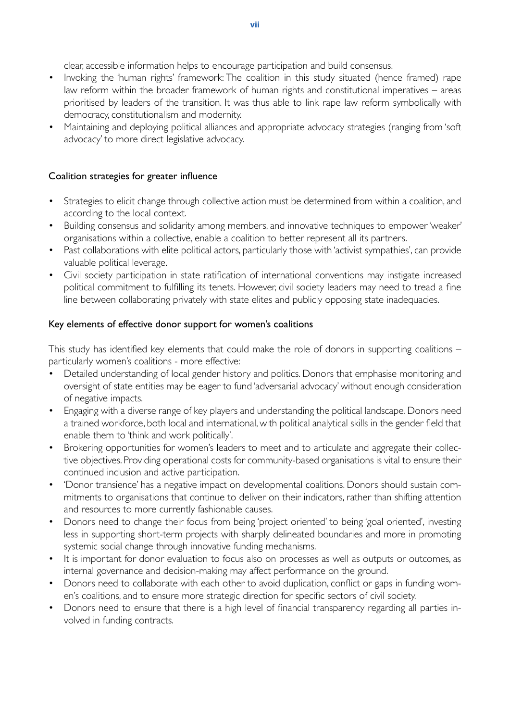clear, accessible information helps to encourage participation and build consensus.

- Invoking the 'human rights' framework: The coalition in this study situated (hence framed) rape law reform within the broader framework of human rights and constitutional imperatives – areas prioritised by leaders of the transition. It was thus able to link rape law reform symbolically with democracy, constitutionalism and modernity.
- Maintaining and deploying political alliances and appropriate advocacy strategies (ranging from 'soft advocacy' to more direct legislative advocacy.

#### Coalition strategies for greater influence

- Strategies to elicit change through collective action must be determined from within a coalition, and  $\bullet$ according to the local context.
- Building consensus and solidarity among members, and innovative techniques to empower 'weaker' organisations within a collective, enable a coalition to better represent all its partners.
- Past collaborations with elite political actors, particularly those with 'activist sympathies', can provide valuable political leverage.
- Civil society participation in state ratification of international conventions may instigate increased political commitment to fulfilling its tenets. However, civil society leaders may need to tread a fine line between collaborating privately with state elites and publicly opposing state inadequacies.

#### Key elements of effective donor support for women's coalitions

This study has identified key elements that could make the role of donors in supporting coalitions particularly women's coalitions - more effective:

- Detailed understanding of local gender history and politics. Donors that emphasise monitoring and oversight of state entities may be eager to fund 'adversarial advocacy' without enough consideration of negative impacts.
- Engaging with a diverse range of key players and understanding the political landscape. Donors need a trained workforce, both local and international, with political analytical skills in the gender field that enable them to 'think and work politically'.
- Brokering opportunities for women's leaders to meet and to articulate and aggregate their collective objectives. Providing operational costs for community-based organisations is vital to ensure their continued inclusion and active participation.
- 'Donor transience' has a negative impact on developmental coalitions. Donors should sustain commitments to organisations that continue to deliver on their indicators, rather than shifting attention and resources to more currently fashionable causes.
- Donors need to change their focus from being 'project oriented' to being 'goal oriented', investing less in supporting short-term projects with sharply delineated boundaries and more in promoting systemic social change through innovative funding mechanisms.
- It is important for donor evaluation to focus also on processes as well as outputs or outcomes, as internal governance and decision-making may affect performance on the ground.
- Donors need to collaborate with each other to avoid duplication, conflict or gaps in funding women's coalitions, and to ensure more strategic direction for specific sectors of civil society.
- Donors need to ensure that there is a high level of financial transparency regarding all parties involved in funding contracts.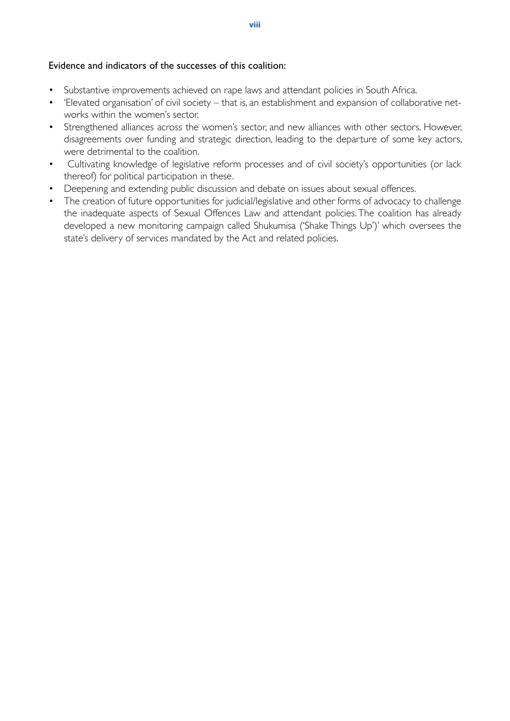#### Evidence and indicators of the successes of this coalition:

- Substantive improvements achieved on rape laws and attendant policies in South Africa.
- 'Elevated organisation' of civil society that is, an establishment and expansion of collaborative networks within the women's sector.
- Strengthened alliances across the women's sector, and new alliances with other sectors, However, disagreements over funding and strategic direction, leading to the departure of some key actors, were detrimental to the coalition.
- Cultivating knowledge of legislative reform processes and of civil society's opportunities (or lack thereof) for political participation in these.
- Deepening and extending public discussion and debate on issues about sexual offences.
- The creation of future opportunities for judicial/legislative and other forms of advocacy to challenge the inadequate aspects of Sexual Offences Law and attendant policies. The coalition has already developed a new monitoring campaign called Shukumisa ('Shake Things Up')' which oversees the state's delivery of services mandated by the Act and related policies.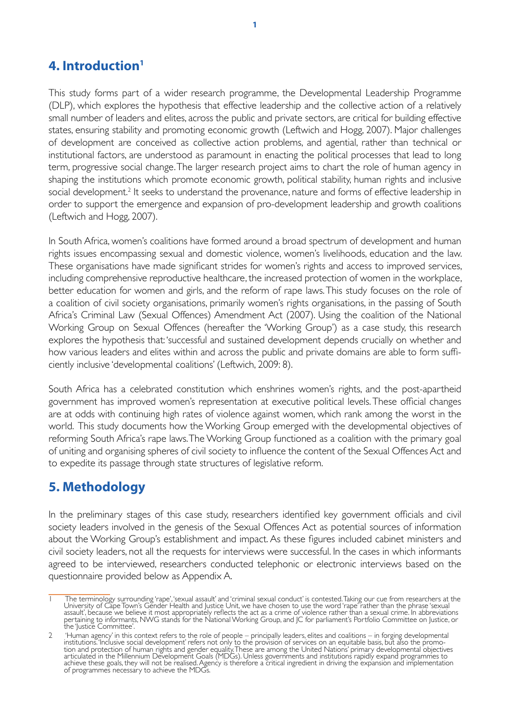### 4. Introduction<sup>1</sup>

This study forms part of a wider research programme, the Developmental Leadership Programme (DLP), which explores the hypothesis that effective leadership and the collective action of a relatively small number of leaders and elites, across the public and private sectors, are critical for building effective states, ensuring stability and promoting economic growth (Leftwich and Hogg, 2007). Major challenges of development are conceived as collective action problems, and agential, rather than technical or institutional factors, are understood as paramount in enacting the political processes that lead to long term, progressive social change. The larger research project aims to chart the role of human agency in shaping the institutions which promote economic growth, political stability, human rights and inclusive social development.<sup>2</sup> It seeks to understand the provenance, nature and forms of effective leadership in order to support the emergence and expansion of pro-development leadership and growth coalitions (Leftwich and Hogg, 2007).

In South Africa, women's coalitions have formed around a broad spectrum of development and human rights issues encompassing sexual and domestic violence, women's livelihoods, education and the law. These organisations have made significant strides for women's rights and access to improved services, including comprehensive reproductive healthcare, the increased protection of women in the workplace, better education for women and girls, and the reform of rape laws. This study focuses on the role of a coalition of civil society organisations, primarily women's rights organisations, in the passing of South Africa's Criminal Law (Sexual Offences) Amendment Act (2007). Using the coalition of the National Working Group on Sexual Offences (hereafter the 'Working Group') as a case study, this research explores the hypothesis that: 'successful and sustained development depends crucially on whether and how various leaders and elites within and across the public and private domains are able to form sufficiently inclusive 'developmental coalitions' (Leftwich, 2009: 8).

South Africa has a celebrated constitution which enshrines women's rights, and the post-apartheid government has improved women's representation at executive political levels. These official changes are at odds with continuing high rates of violence against women, which rank among the worst in the world. This study documents how the Working Group emerged with the developmental objectives of reforming South Africa's rape laws. The Working Group functioned as a coalition with the primary goal of uniting and organising spheres of civil society to influence the content of the Sexual Offences Act and to expedite its passage through state structures of legislative reform.

# 5. Methodology

In the preliminary stages of this case study, researchers identified key government officials and civil society leaders involved in the genesis of the Sexual Offences Act as potential sources of information about the Working Group's establishment and impact. As these figures included cabinet ministers and civil society leaders, not all the requests for interviews were successful. In the cases in which informants agreed to be interviewed, researchers conducted telephonic or electronic interviews based on the questionnaire provided below as Appendix A.

The terminology surrounding 'rape', 'sexual assault' and 'criminal sexual conduct' is contested. Taking our cue from researchers at the University of Cape Town's Gender Health and Justice Unit, we have chosen to use the wo

<sup>&</sup>quot;Human agency" in this context refers to the role of people – principally leaders, elites and coalitions – in forging developmental institutions. "Increased the provision of services on an equitable basis, but also the pro  $\mathcal{D}$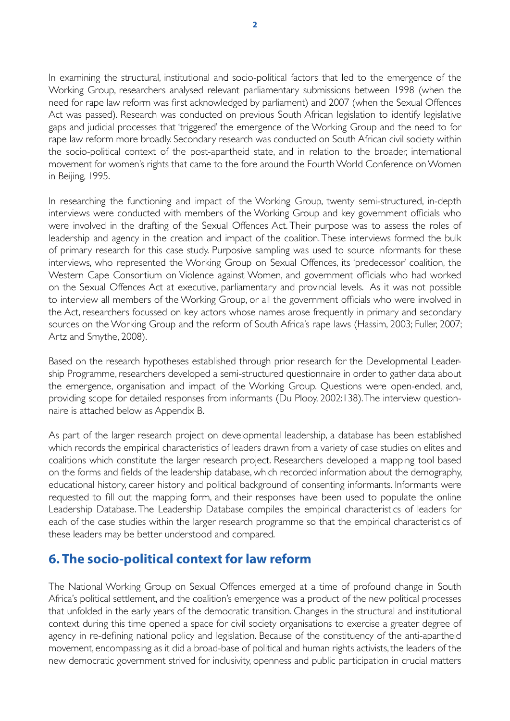In examining the structural, institutional and socio-political factors that led to the emergence of the Working Group, researchers analysed relevant parliamentary submissions between 1998 (when the need for rape law reform was first acknowledged by parliament) and 2007 (when the Sexual Offences Act was passed). Research was conducted on previous South African legislation to identify legislative gaps and judicial processes that 'triggered' the emergence of the Working Group and the need to for rape law reform more broadly. Secondary research was conducted on South African civil society within the socio-political context of the post-apartheid state, and in relation to the broader, international movement for women's rights that came to the fore around the Fourth World Conference on Women in Beijing, 1995.

In researching the functioning and impact of the Working Group, twenty semi-structured, in-depth interviews were conducted with members of the Working Group and key government officials who were involved in the drafting of the Sexual Offences Act. Their purpose was to assess the roles of leadership and agency in the creation and impact of the coalition. These interviews formed the bulk of primary research for this case study. Purposive sampling was used to source informants for these interviews, who represented the Working Group on Sexual Offences, its 'predecessor' coalition, the Western Cape Consortium on Violence against Women, and government officials who had worked on the Sexual Offences Act at executive, parliamentary and provincial levels. As it was not possible to interview all members of the Working Group, or all the government officials who were involved in the Act, researchers focussed on key actors whose names arose frequently in primary and secondary sources on the Working Group and the reform of South Africa's rape laws (Hassim, 2003; Fuller, 2007; Artz and Smythe, 2008).

Based on the research hypotheses established through prior research for the Developmental Leadership Programme, researchers developed a semi-structured questionnaire in order to gather data about the emergence, organisation and impact of the Working Group. Questions were open-ended, and, providing scope for detailed responses from informants (Du Plooy, 2002:138). The interview questionnaire is attached below as Appendix B.

As part of the larger research project on developmental leadership, a database has been established which records the empirical characteristics of leaders drawn from a variety of case studies on elites and coalitions which constitute the larger research project. Researchers developed a mapping tool based on the forms and fields of the leadership database, which recorded information about the demography, educational history, career history and political background of consenting informants. Informants were requested to fill out the mapping form, and their responses have been used to populate the online Leadership Database. The Leadership Database compiles the empirical characteristics of leaders for each of the case studies within the larger research programme so that the empirical characteristics of these leaders may be better understood and compared.

### 6. The socio-political context for law reform

The National Working Group on Sexual Offences emerged at a time of profound change in South Africa's political settlement, and the coalition's emergence was a product of the new political processes that unfolded in the early years of the democratic transition. Changes in the structural and institutional context during this time opened a space for civil society organisations to exercise a greater degree of agency in re-defining national policy and legislation. Because of the constituency of the anti-apartheid movement, encompassing as it did a broad-base of political and human rights activists, the leaders of the new democratic government strived for inclusivity, openness and public participation in crucial matters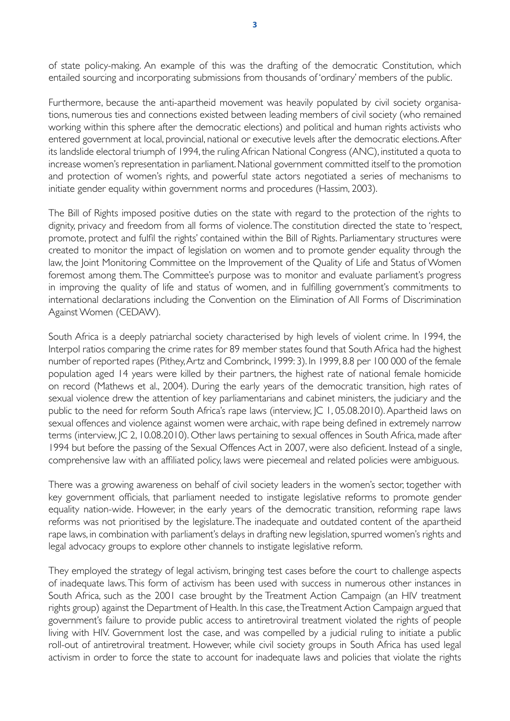of state policy-making. An example of this was the drafting of the democratic Constitution, which entailed sourcing and incorporating submissions from thousands of 'ordinary' members of the public.

Furthermore, because the anti-apartheid movement was heavily populated by civil society organisations, numerous ties and connections existed between leading members of civil society (who remained working within this sphere after the democratic elections) and political and human rights activists who entered government at local, provincial, national or executive levels after the democratic elections. After its landslide electoral triumph of 1994, the ruling African National Congress (ANC), instituted a quota to increase women's representation in parliament. National government committed itself to the promotion and protection of women's rights, and powerful state actors negotiated a series of mechanisms to initiate gender equality within government norms and procedures (Hassim, 2003).

The Bill of Rights imposed positive duties on the state with regard to the protection of the rights to dignity, privacy and freedom from all forms of violence. The constitution directed the state to 'respect, promote, protect and fulfil the rights' contained within the Bill of Rights. Parliamentary structures were created to monitor the impact of legislation on women and to promote gender equality through the law, the Joint Monitoring Committee on the Improvement of the Quality of Life and Status of Women foremost among them. The Committee's purpose was to monitor and evaluate parliament's progress in improving the quality of life and status of women, and in fulfilling government's commitments to international declarations including the Convention on the Elimination of All Forms of Discrimination Against Women (CEDAW).

South Africa is a deeply patriarchal society characterised by high levels of violent crime. In 1994, the Interpol ratios comparing the crime rates for 89 member states found that South Africa had the highest number of reported rapes (Pithey, Artz and Combrinck, 1999: 3). In 1999, 8.8 per 100 000 of the female population aged 14 years were killed by their partners, the highest rate of national female homicide on record (Mathews et al., 2004). During the early years of the democratic transition, high rates of sexual violence drew the attention of key parliamentarians and cabinet ministers, the judiciary and the public to the need for reform South Africa's rape laws (interview, JC 1, 05.08.2010). Apartheid laws on sexual offences and violence against women were archaic, with rape being defined in extremely narrow terms (interview, JC 2, 10.08.2010). Other laws pertaining to sexual offences in South Africa, made after 1994 but before the passing of the Sexual Offences Act in 2007, were also deficient. Instead of a single, comprehensive law with an affiliated policy, laws were piecemeal and related policies were ambiguous.

There was a growing awareness on behalf of civil society leaders in the women's sector, together with key government officials, that parliament needed to instigate legislative reforms to promote gender equality nation-wide. However, in the early years of the democratic transition, reforming rape laws reforms was not prioritised by the legislature. The inadequate and outdated content of the apartheid rape laws, in combination with parliament's delays in drafting new legislation, spurred women's rights and legal advocacy groups to explore other channels to instigate legislative reform.

They employed the strategy of legal activism, bringing test cases before the court to challenge aspects of inadequate laws. This form of activism has been used with success in numerous other instances in South Africa, such as the 2001 case brought by the Treatment Action Campaign (an HIV treatment rights group) against the Department of Health. In this case, the Treatment Action Campaign argued that government's failure to provide public access to antiretroviral treatment violated the rights of people living with HIV. Government lost the case, and was compelled by a judicial ruling to initiate a public roll-out of antiretroviral treatment. However, while civil society groups in South Africa has used legal activism in order to force the state to account for inadequate laws and policies that violate the rights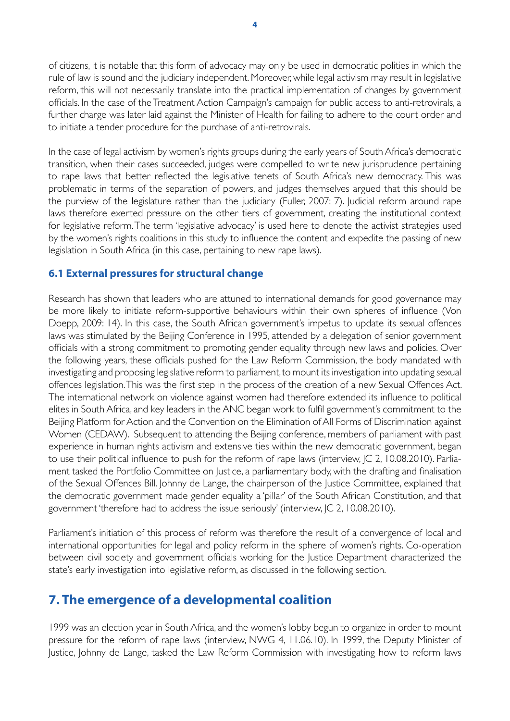of citizens, it is notable that this form of advocacy may only be used in democratic polities in which the rule of law is sound and the judiciary independent. Moreover, while legal activism may result in legislative reform, this will not necessarily translate into the practical implementation of changes by government officials. In the case of the Treatment Action Campaign's campaign for public access to anti-retrovirals, a further charge was later laid against the Minister of Health for failing to adhere to the court order and to initiate a tender procedure for the purchase of anti-retrovirals.

In the case of legal activism by women's rights groups during the early years of South Africa's democratic transition, when their cases succeeded, judges were compelled to write new jurisprudence pertaining to rape laws that better reflected the legislative tenets of South Africa's new democracy. This was problematic in terms of the separation of powers, and judges themselves argued that this should be the purview of the legislature rather than the judiciary (Fuller, 2007: 7). Judicial reform around rape laws therefore exerted pressure on the other tiers of government, creating the institutional context for legislative reform. The term 'legislative advocacy' is used here to denote the activist strategies used by the women's rights coalitions in this study to influence the content and expedite the passing of new legislation in South Africa (in this case, pertaining to new rape laws).

#### 6.1 External pressures for structural change

Research has shown that leaders who are attuned to international demands for good governance may be more likely to initiate reform-supportive behaviours within their own spheres of influence (Von Doepp, 2009: 14). In this case, the South African government's impetus to update its sexual offences laws was stimulated by the Beijing Conference in 1995, attended by a delegation of senior government officials with a strong commitment to promoting gender equality through new laws and policies. Over the following years, these officials pushed for the Law Reform Commission, the body mandated with investigating and proposing legislative reform to parliament, to mount its investigation into updating sexual offences legislation. This was the first step in the process of the creation of a new Sexual Offences Act. The international network on violence against women had therefore extended its influence to political elites in South Africa, and key leaders in the ANC began work to fulfil government's commitment to the Beijing Platform for Action and the Convention on the Elimination of All Forms of Discrimination against Women (CEDAW). Subsequent to attending the Beijing conference, members of parliament with past experience in human rights activism and extensive ties within the new democratic government, began to use their political influence to push for the reform of rape laws (interview, JC 2, 10.08.2010). Parliament tasked the Portfolio Committee on Justice, a parliamentary body, with the drafting and finalisation of the Sexual Offences Bill, Johnny de Lange, the chairperson of the Justice Committee, explained that the democratic government made gender equality a 'pillar' of the South African Constitution, and that government 'therefore had to address the issue seriously' (interview, JC 2, 10.08.2010).

Parliament's initiation of this process of reform was therefore the result of a convergence of local and international opportunities for legal and policy reform in the sphere of women's rights. Co-operation between civil society and government officials working for the Justice Department characterized the state's early investigation into legislative reform, as discussed in the following section.

### 7. The emergence of a developmental coalition

1999 was an election year in South Africa, and the women's lobby begun to organize in order to mount pressure for the reform of rape laws (interview, NWG 4, 11.06.10). In 1999, the Deputy Minister of Justice, Johnny de Lange, tasked the Law Reform Commission with investigating how to reform laws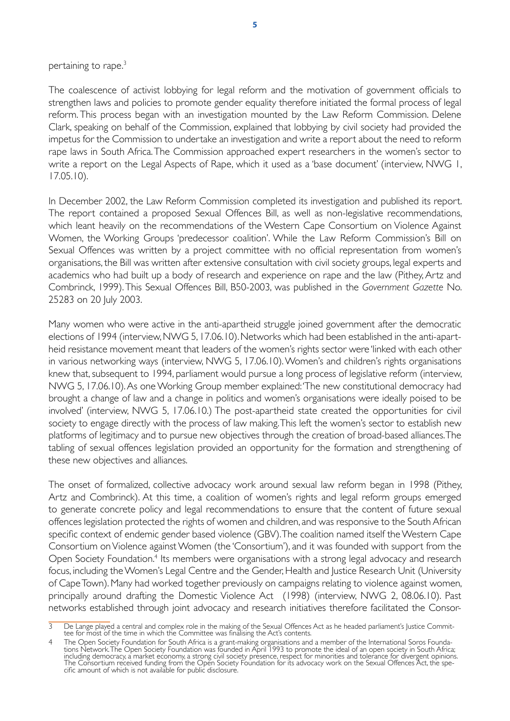pertaining to rape.<sup>3</sup>

The coalescence of activist lobbying for legal reform and the motivation of government officials to strengthen laws and policies to promote gender equality therefore initiated the formal process of legal reform. This process began with an investigation mounted by the Law Reform Commission. Delene Clark, speaking on behalf of the Commission, explained that lobbying by civil society had provided the impetus for the Commission to undertake an investigation and write a report about the need to reform rape laws in South Africa. The Commission approached expert researchers in the women's sector to write a report on the Legal Aspects of Rape, which it used as a 'base document' (interview, NWG 1,  $17.05.10$ ).

In December 2002, the Law Reform Commission completed its investigation and published its report. The report contained a proposed Sexual Offences Bill, as well as non-legislative recommendations, which leant heavily on the recommendations of the Western Cape Consortium on Violence Against Women, the Working Groups 'predecessor coalition'. While the Law Reform Commission's Bill on Sexual Offences was written by a project committee with no official representation from women's organisations, the Bill was written after extensive consultation with civil society groups, legal experts and academics who had built up a body of research and experience on rape and the law (Pithey, Artz and Combrinck, 1999). This Sexual Offences Bill, B50-2003, was published in the Government Gazette No. 25283 on 20 July 2003.

Many women who were active in the anti-apartheid struggle joined government after the democratic elections of 1994 (interview, NWG 5, 17.06.10). Networks which had been established in the anti-apartheid resistance movement meant that leaders of the women's rights sector were 'linked with each other in various networking ways (interview, NWG 5, 17.06.10). Women's and children's rights organisations knew that, subsequent to 1994, parliament would pursue a long process of legislative reform (interview, NWG 5, 17.06.10). As one Working Group member explained: The new constitutional democracy had brought a change of law and a change in politics and women's organisations were ideally poised to be involved' (interview, NWG 5, 17.06.10.) The post-apartheid state created the opportunities for civil society to engage directly with the process of law making. This left the women's sector to establish new platforms of legitimacy and to pursue new objectives through the creation of broad-based alliances. The tabling of sexual offences legislation provided an opportunity for the formation and strengthening of these new objectives and alliances.

The onset of formalized, collective advocacy work around sexual law reform began in 1998 (Pithey, Artz and Combrinck). At this time, a coalition of women's rights and legal reform groups emerged to generate concrete policy and legal recommendations to ensure that the content of future sexual offences legislation protected the rights of women and children, and was responsive to the South African specific context of endemic gender based violence (GBV). The coalition named itself the Western Cape Consortium on Violence against Women (the 'Consortium'), and it was founded with support from the Open Society Foundation,<sup>4</sup> Its members were organisations with a strong legal advocacy and research focus, including the Women's Legal Centre and the Gender, Health and Justice Research Unit (University of Cape Town). Many had worked together previously on campaigns relating to violence against women, principally around drafting the Domestic Violence Act (1998) (interview, NWG 2, 08.06.10). Past networks established through joint advocacy and research initiatives therefore facilitated the Consor-

De Lange played a central and complex role in the making of the Sexual Offences Act as he headed parliament's Justice Commit-<br>tee for most of the time in which the Committee was finalising the Act's contents.  $\overline{z}$ 

The Open Society Foundation for South Africa is a grant-making organisations and a member of the International Soros Foundations Network. The Open Society Foundation sas foundation same including democracy, a market econom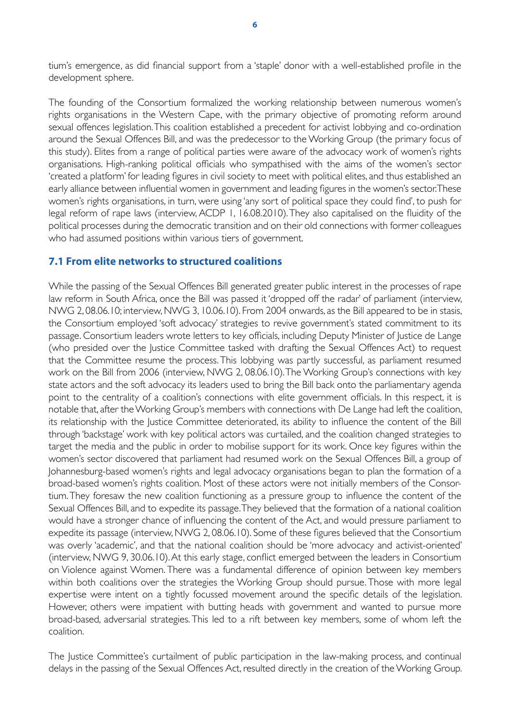tium's emergence, as did financial support from a 'staple' donor with a well-established profile in the development sphere.

The founding of the Consortium formalized the working relationship between numerous women's rights organisations in the Western Cape, with the primary objective of promoting reform around sexual offences legislation. This coalition established a precedent for activist lobbying and co-ordination around the Sexual Offences Bill, and was the predecessor to the Working Group (the primary focus of this study). Elites from a range of political parties were aware of the advocacy work of women's rights organisations. High-ranking political officials who sympathised with the aims of the women's sector 'created a platform' for leading figures in civil society to meet with political elites, and thus established an early alliance between influential women in government and leading figures in the women's sector. These women's rights organisations, in turn, were using 'any sort of political space they could find', to push for legal reform of rape laws (interview, ACDP 1, 16.08.2010). They also capitalised on the fluidity of the political processes during the democratic transition and on their old connections with former colleagues who had assumed positions within various tiers of government.

#### 7.1 From elite networks to structured coalitions

While the passing of the Sexual Offences Bill generated greater public interest in the processes of rape law reform in South Africa, once the Bill was passed it 'dropped off the radar' of parliament (interview, NWG 2, 08.06.10; interview, NWG 3, 10.06.10). From 2004 onwards, as the Bill appeared to be in stasis, the Consortium employed 'soft advocacy' strategies to revive government's stated commitment to its passage. Consortium leaders wrote letters to key officials, including Deputy Minister of Justice de Lange (who presided over the Justice Committee tasked with drafting the Sexual Offences Act) to request that the Committee resume the process. This lobbying was partly successful, as parliament resumed work on the Bill from 2006 (interview, NWG 2, 08.06.10). The Working Group's connections with key state actors and the soft advocacy its leaders used to bring the Bill back onto the parliamentary agenda point to the centrality of a coalition's connections with elite government officials. In this respect, it is notable that, after the Working Group's members with connections with De Lange had left the coalition, its relationship with the Justice Committee deteriorated, its ability to influence the content of the Bill through 'backstage' work with key political actors was curtailed, and the coalition changed strategies to target the media and the public in order to mobilise support for its work. Once key figures within the women's sector discovered that parliament had resumed work on the Sexual Offences Bill, a group of Johannesburg-based women's rights and legal advocacy organisations began to plan the formation of a broad-based women's rights coalition. Most of these actors were not initially members of the Consortium. They foresaw the new coalition functioning as a pressure group to influence the content of the Sexual Offences Bill, and to expedite its passage. They believed that the formation of a national coalition would have a stronger chance of influencing the content of the Act, and would pressure parliament to expedite its passage (interview, NWG 2, 08.06.10). Some of these figures believed that the Consortium was overly 'academic', and that the national coalition should be 'more advocacy and activist-oriented' (interview, NWG 9, 30.06.10). At this early stage, conflict emerged between the leaders in Consortium on Violence against Women. There was a fundamental difference of opinion between key members within both coalitions over the strategies the Working Group should pursue. Those with more legal expertise were intent on a tightly focussed movement around the specific details of the legislation. However, others were impatient with butting heads with government and wanted to pursue more broad-based, adversarial strategies. This led to a rift between key members, some of whom left the coalition.

The Justice Committee's curtailment of public participation in the law-making process, and continual delays in the passing of the Sexual Offences Act, resulted directly in the creation of the Working Group.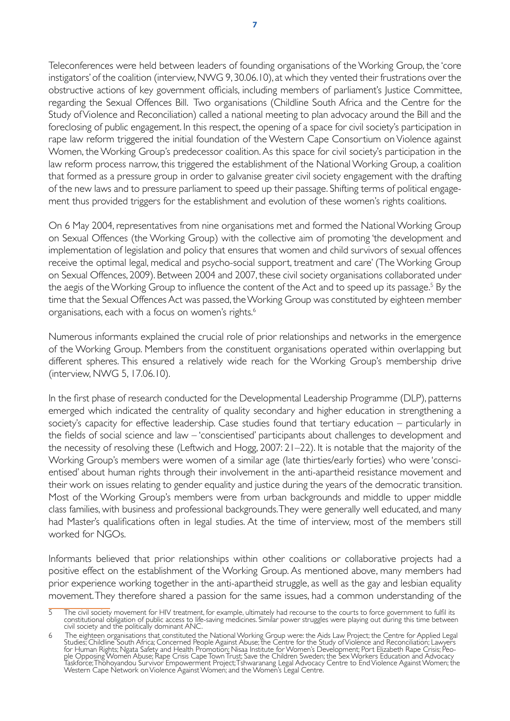Teleconferences were held between leaders of founding organisations of the Working Group, the 'core instigators' of the coalition (interview, NWG 9, 30.06.10), at which they vented their frustrations over the obstructive actions of key government officials, including members of parliament's lustice Committee, regarding the Sexual Offences Bill. Two organisations (Childline South Africa and the Centre for the Study of Violence and Reconciliation) called a national meeting to plan advocacy around the Bill and the foreclosing of public engagement. In this respect, the opening of a space for civil society's participation in rape law reform triggered the initial foundation of the Western Cape Consortium on Violence against Women, the Working Group's predecessor coalition. As this space for civil society's participation in the law reform process narrow, this triggered the establishment of the National Working Group, a coalition that formed as a pressure group in order to galvanise greater civil society engagement with the drafting of the new laws and to pressure parliament to speed up their passage. Shifting terms of political engagement thus provided triggers for the establishment and evolution of these women's rights coalitions.

On 6 May 2004, representatives from nine organisations met and formed the National Working Group on Sexual Offences (the Working Group) with the collective aim of promoting 'the development and implementation of legislation and policy that ensures that women and child survivors of sexual offences receive the optimal legal, medical and psycho-social support, treatment and care' (The Working Group on Sexual Offences, 2009). Between 2004 and 2007, these civil society organisations collaborated under the aegis of the Working Group to influence the content of the Act and to speed up its passage.<sup>5</sup> By the time that the Sexual Offences Act was passed, the Working Group was constituted by eighteen member organisations, each with a focus on women's rights.<sup>6</sup>

Numerous informants explained the crucial role of prior relationships and networks in the emergence of the Working Group. Members from the constituent organisations operated within overlapping but different spheres. This ensured a relatively wide reach for the Working Group's membership drive (interview, NWG 5, 17.06.10).

In the first phase of research conducted for the Developmental Leadership Programme (DLP), patterns emerged which indicated the centrality of quality secondary and higher education in strengthening a society's capacity for effective leadership. Case studies found that tertiary education – particularly in the fields of social science and law – 'conscientised' participants about challenges to development and the necessity of resolving these (Leftwich and Hogg, 2007: 21-22). It is notable that the majority of the Working Group's members were women of a similar age (late thirties/early forties) who were 'conscientised' about human rights through their involvement in the anti-apartheid resistance movement and their work on issues relating to gender equality and justice during the years of the democratic transition. Most of the Working Group's members were from urban backgrounds and middle to upper middle class families, with business and professional backgrounds. They were generally well educated, and many had Master's qualifications often in legal studies. At the time of interview, most of the members still worked for NGOs.

Informants believed that prior relationships within other coalitions or collaborative projects had a positive effect on the establishment of the Working Group. As mentioned above, many members had prior experience working together in the anti-apartheid struggle, as well as the gay and lesbian equality movement. They therefore shared a passion for the same issues, had a common understanding of the

The civil society movement for HIV treatment, for example, ultimately had recourse to the courts to force government to fulfil its constitutional obligation of public access to life-saving medicines. Similar power struggles were playing out during this time between<br>civil society and the politically dominant ANC.

The eighteen organisations that constituted the National Working Group were: the Aids Law Project; the Centre for Applied Legal<br>The eighteen organisations that constituted the National Working Group were: the Aids Law Proj  $\overline{a}$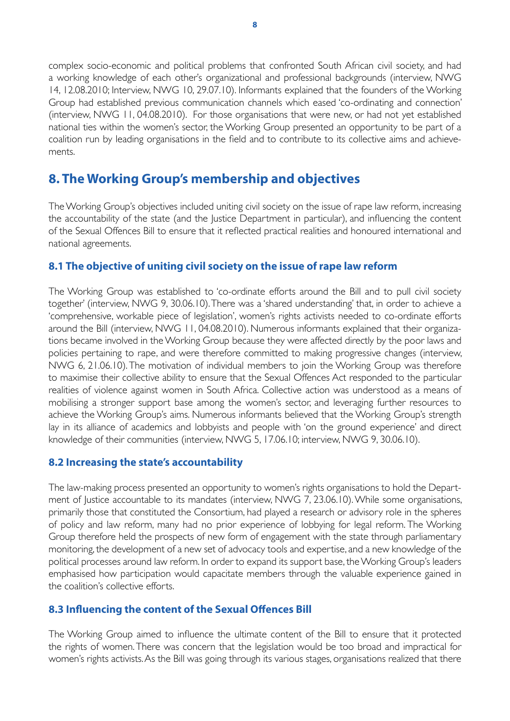complex socio-economic and political problems that confronted South African civil society, and had a working knowledge of each other's organizational and professional backgrounds (interview, NWG 14, 12.08.2010; Interview, NWG 10, 29.07.10). Informants explained that the founders of the Working Group had established previous communication channels which eased 'co-ordinating and connection' (interview, NWG 11, 04.08.2010). For those organisations that were new, or had not yet established national ties within the women's sector, the Working Group presented an opportunity to be part of a coalition run by leading organisations in the field and to contribute to its collective aims and achievements.

### 8. The Working Group's membership and objectives

The Working Group's objectives included uniting civil society on the issue of rape law reform, increasing the accountability of the state (and the Justice Department in particular), and influencing the content of the Sexual Offences Bill to ensure that it reflected practical realities and honoured international and national agreements.

#### 8.1 The objective of uniting civil society on the issue of rape law reform

The Working Group was established to 'co-ordinate efforts around the Bill and to pull civil society together' (interview, NWG 9, 30.06.10). There was a 'shared understanding' that, in order to achieve a 'comprehensive, workable piece of legislation', women's rights activists needed to co-ordinate efforts around the Bill (interview, NWG 11, 04.08.2010). Numerous informants explained that their organizations became involved in the Working Group because they were affected directly by the poor laws and policies pertaining to rape, and were therefore committed to making progressive changes (interview, NWG 6, 21.06.10). The motivation of individual members to join the Working Group was therefore to maximise their collective ability to ensure that the Sexual Offences Act responded to the particular realities of violence against women in South Africa, Collective action was understood as a means of mobilising a stronger support base among the women's sector, and leveraging further resources to achieve the Working Group's aims. Numerous informants believed that the Working Group's strength lay in its alliance of academics and lobbyists and people with 'on the ground experience' and direct knowledge of their communities (interview, NWG 5, 17.06.10; interview, NWG 9, 30.06.10).

#### 8.2 Increasing the state's accountability

The law-making process presented an opportunity to women's rights organisations to hold the Department of Justice accountable to its mandates (interview, NWG 7, 23.06.10). While some organisations, primarily those that constituted the Consortium, had played a research or advisory role in the spheres of policy and law reform, many had no prior experience of lobbying for legal reform. The Working Group therefore held the prospects of new form of engagement with the state through parliamentary monitoring, the development of a new set of advocacy tools and expertise, and a new knowledge of the political processes around law reform. In order to expand its support base, the Working Group's leaders emphasised how participation would capacitate members through the valuable experience gained in the coalition's collective efforts.

#### 8.3 Influencing the content of the Sexual Offences Bill

The Working Group aimed to influence the ultimate content of the Bill to ensure that it protected the rights of women. There was concern that the legislation would be too broad and impractical for women's rights activists. As the Bill was going through its various stages, organisations realized that there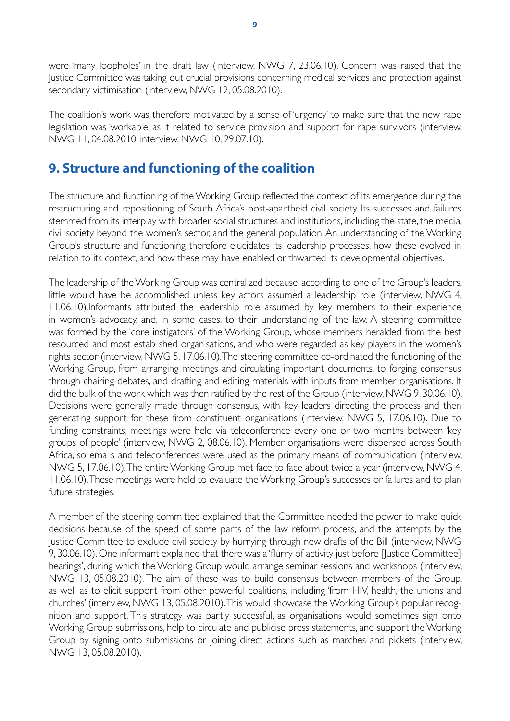$\overline{9}$ 

were 'many loopholes' in the draft law (interview, NWG 7, 23.06.10). Concern was raised that the Justice Committee was taking out crucial provisions concerning medical services and protection against secondary victimisation (interview, NWG 12, 05.08.2010).

The coalition's work was therefore motivated by a sense of 'urgency' to make sure that the new rape legislation was 'workable' as it related to service provision and support for rape survivors (interview, NWG 11, 04.08.2010; interview, NWG 10, 29.07.10).

# 9. Structure and functioning of the coalition

The structure and functioning of the Working Group reflected the context of its emergence during the restructuring and repositioning of South Africa's post-apartheid civil society. Its successes and failures stemmed from its interplay with broader social structures and institutions, including the state, the media, civil society beyond the women's sector, and the general population. An understanding of the Working Group's structure and functioning therefore elucidates its leadership processes, how these evolved in relation to its context, and how these may have enabled or thwarted its developmental objectives.

The leadership of the Working Group was centralized because, according to one of the Group's leaders, little would have be accomplished unless key actors assumed a leadership role (interview, NWG 4, 11.06.10). Informants attributed the leadership role assumed by key members to their experience in women's advocacy, and, in some cases, to their understanding of the law. A steering committee was formed by the 'core instigators' of the Working Group, whose members heralded from the best resourced and most established organisations, and who were regarded as key players in the women's rights sector (interview, NWG 5, 17.06.10). The steering committee co-ordinated the functioning of the Working Group, from arranging meetings and circulating important documents, to forging consensus through chairing debates, and drafting and editing materials with inputs from member organisations. It did the bulk of the work which was then ratified by the rest of the Group (interview, NWG 9, 30.06.10). Decisions were generally made through consensus, with key leaders directing the process and then generating support for these from constituent organisations (interview, NWG 5, 17.06.10). Due to funding constraints, meetings were held via teleconference every one or two months between 'key groups of people' (interview, NWG 2, 08.06.10). Member organisations were dispersed across South Africa, so emails and teleconferences were used as the primary means of communication (interview, NWG 5, 17.06.10). The entire Working Group met face to face about twice a year (interview, NWG 4, 11.06.10). These meetings were held to evaluate the Working Group's successes or failures and to plan future strategies.

A member of the steering committee explained that the Committee needed the power to make quick decisions because of the speed of some parts of the law reform process, and the attempts by the Justice Committee to exclude civil society by hurrying through new drafts of the Bill (interview, NWG 9, 30.06.10). One informant explained that there was a 'flurry of activity just before [Justice Committee] hearings', during which the Working Group would arrange seminar sessions and workshops (interview, NWG 13, 05.08.2010). The aim of these was to build consensus between members of the Group, as well as to elicit support from other powerful coalitions, including 'from HIV, health, the unions and churches' (interview, NWG 13, 05.08.2010). This would showcase the Working Group's popular recognition and support. This strategy was partly successful, as organisations would sometimes sign onto Working Group submissions, help to circulate and publicise press statements, and support the Working Group by signing onto submissions or joining direct actions such as marches and pickets (interview, NWG 13, 05.08.2010).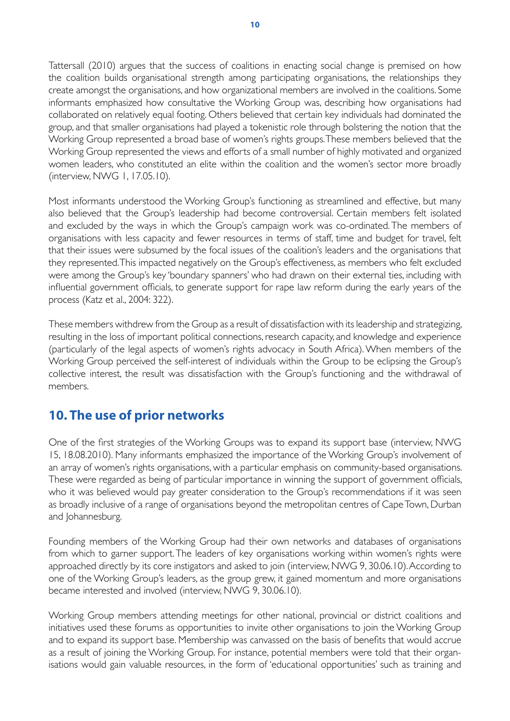Tattersall (2010) argues that the success of coalitions in enacting social change is premised on how the coalition builds organisational strength among participating organisations, the relationships they create amongst the organisations, and how organizational members are involved in the coalitions. Some informants emphasized how consultative the Working Group was, describing how organisations had collaborated on relatively equal footing. Others believed that certain key individuals had dominated the group, and that smaller organisations had played a tokenistic role through bolstering the notion that the Working Group represented a broad base of women's rights groups. These members believed that the Working Group represented the views and efforts of a small number of highly motivated and organized women leaders, who constituted an elite within the coalition and the women's sector more broadly (interview, NWG 1, 17.05.10).

Most informants understood the Working Group's functioning as streamlined and effective, but many also believed that the Group's leadership had become controversial. Certain members felt isolated and excluded by the ways in which the Group's campaign work was co-ordinated. The members of organisations with less capacity and fewer resources in terms of staff, time and budget for travel, felt that their issues were subsumed by the focal issues of the coalition's leaders and the organisations that they represented. This impacted negatively on the Group's effectiveness, as members who felt excluded were among the Group's key 'boundary spanners' who had drawn on their external ties, including with influential government officials, to generate support for rape law reform during the early years of the process (Katz et al., 2004: 322).

These members withdrew from the Group as a result of dissatisfaction with its leadership and strategizing, resulting in the loss of important political connections, research capacity, and knowledge and experience (particularly of the legal aspects of women's rights advocacy in South Africa). When members of the Working Group perceived the self-interest of individuals within the Group to be eclipsing the Group's collective interest, the result was dissatisfaction with the Group's functioning and the withdrawal of members.

# 10. The use of prior networks

One of the first strategies of the Working Groups was to expand its support base (interview, NWG 15, 18.08.2010). Many informants emphasized the importance of the Working Group's involvement of an array of women's rights organisations, with a particular emphasis on community-based organisations. These were regarded as being of particular importance in winning the support of government officials, who it was believed would pay greater consideration to the Group's recommendations if it was seen as broadly inclusive of a range of organisations beyond the metropolitan centres of Cape Town, Durban and Johannesburg.

Founding members of the Working Group had their own networks and databases of organisations from which to garner support. The leaders of key organisations working within women's rights were approached directly by its core instigators and asked to join (interview, NWG 9, 30.06.10). According to one of the Working Group's leaders, as the group grew, it gained momentum and more organisations became interested and involved (interview, NWG 9, 30.06.10).

Working Group members attending meetings for other national, provincial or district coalitions and initiatives used these forums as opportunities to invite other organisations to join the Working Group and to expand its support base. Membership was canvassed on the basis of benefits that would accrue as a result of joining the Working Group. For instance, potential members were told that their organisations would gain valuable resources, in the form of 'educational opportunities' such as training and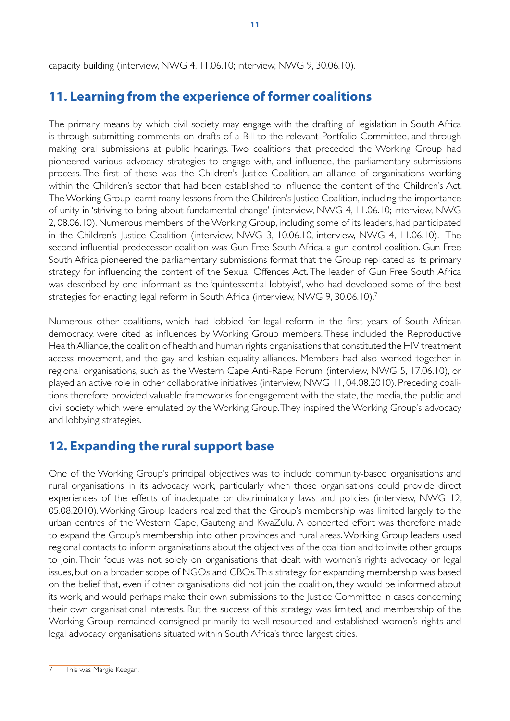# 11. Learning from the experience of former coalitions

The primary means by which civil society may engage with the drafting of legislation in South Africa is through submitting comments on drafts of a Bill to the relevant Portfolio Committee, and through making oral submissions at public hearings. Two coalitions that preceded the Working Group had pioneered various advocacy strategies to engage with, and influence, the parliamentary submissions process. The first of these was the Children's Justice Coalition, an alliance of organisations working within the Children's sector that had been established to influence the content of the Children's Act. The Working Group learnt many lessons from the Children's Justice Coalition, including the importance of unity in 'striving to bring about fundamental change' (interview, NWG 4, 11.06.10; interview, NWG 2,08.06.10). Numerous members of the Working Group, including some of its leaders, had participated in the Children's Justice Coalition (interview, NWG 3, 10.06.10, interview, NWG 4, 11.06.10). The second influential predecessor coalition was Gun Free South Africa, a gun control coalition. Gun Free South Africa pioneered the parliamentary submissions format that the Group replicated as its primary strategy for influencing the content of the Sexual Offences Act. The leader of Gun Free South Africa was described by one informant as the 'quintessential lobbyist', who had developed some of the best strategies for enacting legal reform in South Africa (interview, NWG 9, 30.06.10).<sup>7</sup>

Numerous other coalitions, which had lobbied for legal reform in the first years of South African democracy, were cited as influences by Working Group members. These included the Reproductive Health Alliance, the coalition of health and human rights organisations that constituted the HIV treatment access movement, and the gay and lesbian equality alliances. Members had also worked together in regional organisations, such as the Western Cape Anti-Rape Forum (interview, NWG 5, 17.06.10), or played an active role in other collaborative initiatives (interview, NWG 11,04.08.2010). Preceding coalitions therefore provided valuable frameworks for engagement with the state, the media, the public and civil society which were emulated by the Working Group. They inspired the Working Group's advocacy and lobbying strategies.

# 12. Expanding the rural support base

One of the Working Group's principal objectives was to include community-based organisations and rural organisations in its advocacy work, particularly when those organisations could provide direct experiences of the effects of inadequate or discriminatory laws and policies (interview, NWG 12, 05.08.2010). Working Group leaders realized that the Group's membership was limited largely to the urban centres of the Western Cape, Gauteng and KwaZulu. A concerted effort was therefore made to expand the Group's membership into other provinces and rural areas. Working Group leaders used regional contacts to inform organisations about the objectives of the coalition and to invite other groups to join. Their focus was not solely on organisations that dealt with women's rights advocacy or legal issues, but on a broader scope of NGOs and CBOs. This strategy for expanding membership was based on the belief that, even if other organisations did not join the coalition, they would be informed about its work, and would perhaps make their own submissions to the Justice Committee in cases concerning their own organisational interests. But the success of this strategy was limited, and membership of the Working Group remained consigned primarily to well-resourced and established women's rights and legal advocacy organisations situated within South Africa's three largest cities.

 $\overline{7}$ This was Margie Keegan.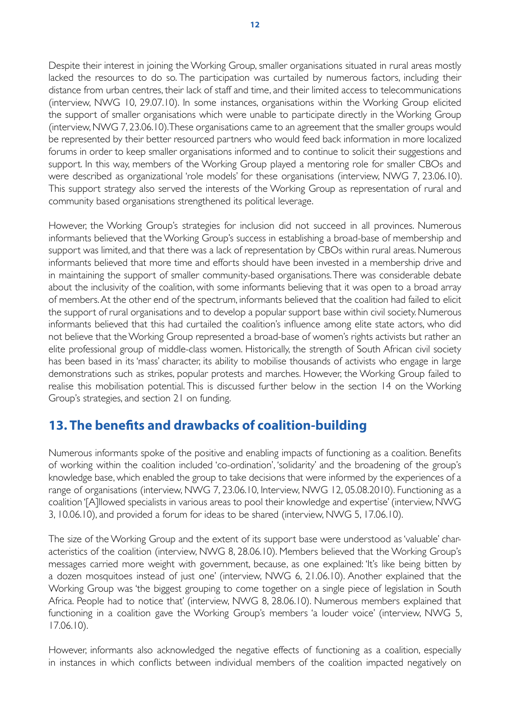Despite their interest in joining the Working Group, smaller organisations situated in rural areas mostly lacked the resources to do so. The participation was curtailed by numerous factors, including their distance from urban centres, their lack of staff and time, and their limited access to telecommunications (interview, NWG 10, 29.07.10). In some instances, organisations within the Working Group elicited the support of smaller organisations which were unable to participate directly in the Working Group (interview, NWG 7, 23.06.10). These organisations came to an agreement that the smaller groups would be represented by their better resourced partners who would feed back information in more localized forums in order to keep smaller organisations informed and to continue to solicit their suggestions and support. In this way, members of the Working Group played a mentoring role for smaller CBOs and were described as organizational 'role models' for these organisations (interview, NWG 7, 23.06.10). This support strategy also served the interests of the Working Group as representation of rural and community based organisations strengthened its political leverage.

However, the Working Group's strategies for inclusion did not succeed in all provinces. Numerous informants believed that the Working Group's success in establishing a broad-base of membership and support was limited, and that there was a lack of representation by CBOs within rural areas. Numerous informants believed that more time and efforts should have been invested in a membership drive and in maintaining the support of smaller community-based organisations. There was considerable debate about the inclusivity of the coalition, with some informants believing that it was open to a broad array of members. At the other end of the spectrum, informants believed that the coalition had failed to elicit the support of rural organisations and to develop a popular support base within civil society. Numerous informants believed that this had curtailed the coalition's influence among elite state actors, who did not believe that the Working Group represented a broad-base of women's rights activists but rather an elite professional group of middle-class women. Historically, the strength of South African civil society has been based in its 'mass' character, its ability to mobilise thousands of activists who engage in large demonstrations such as strikes, popular protests and marches. However, the Working Group failed to realise this mobilisation potential. This is discussed further below in the section 14 on the Working Group's strategies, and section 21 on funding.

# **13. The benefits and drawbacks of coalition-building**

Numerous informants spoke of the positive and enabling impacts of functioning as a coalition. Benefits of working within the coalition included 'co-ordination', 'solidarity' and the broadening of the group's knowledge base, which enabled the group to take decisions that were informed by the experiences of a range of organisations (interview, NWG 7, 23.06.10, Interview, NWG 12, 05.08.2010). Functioning as a coalition '[A]llowed specialists in various areas to pool their knowledge and expertise' (interview, NWG 3, 10.06.10), and provided a forum for ideas to be shared (interview, NWG 5, 17.06.10).

The size of the Working Group and the extent of its support base were understood as 'valuable' characteristics of the coalition (interview, NWG 8, 28.06.10). Members believed that the Working Group's messages carried more weight with government, because, as one explained: 'It's like being bitten by a dozen mosquitoes instead of just one' (interview, NWG 6, 21.06.10). Another explained that the Working Group was 'the biggest grouping to come together on a single piece of legislation in South Africa. People had to notice that' (interview, NWG 8, 28.06.10). Numerous members explained that functioning in a coalition gave the Working Group's members 'a louder voice' (interview, NWG 5,  $17.06.10$ ).

However, informants also acknowledged the negative effects of functioning as a coalition, especially in instances in which conflicts between individual members of the coalition impacted negatively on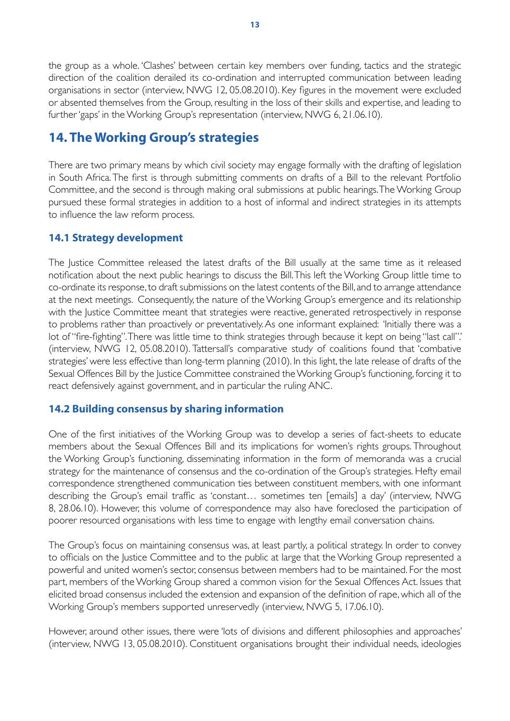the group as a whole. 'Clashes' between certain key members over funding, tactics and the strategic direction of the coalition derailed its co-ordination and interrupted communication between leading organisations in sector (interview, NWG 12, 05.08.2010). Key figures in the movement were excluded or absented themselves from the Group, resulting in the loss of their skills and expertise, and leading to further 'gaps' in the Working Group's representation (interview, NWG 6, 21.06.10).

### **14. The Working Group's strategies**

There are two primary means by which civil society may engage formally with the drafting of legislation in South Africa. The first is through submitting comments on drafts of a Bill to the relevant Portfolio Committee, and the second is through making oral submissions at public hearings. The Working Group pursued these formal strategies in addition to a host of informal and indirect strategies in its attempts to influence the law reform process.

#### **14.1 Strategy development**

The Justice Committee released the latest drafts of the Bill usually at the same time as it released notification about the next public hearings to discuss the Bill. This left the Working Group little time to co-ordinate its response, to draft submissions on the latest contents of the Bill, and to arrange attendance at the next meetings. Consequently, the nature of the Working Group's emergence and its relationship with the Justice Committee meant that strategies were reactive, generated retrospectively in response to problems rather than proactively or preventatively. As one informant explained: 'Initially there was a lot of "fire-fighting". There was little time to think strategies through because it kept on being "last call". (interview, NWG 12, 05.08.2010). Tattersall's comparative study of coalitions found that 'combative strategies' were less effective than long-term planning (2010). In this light, the late release of drafts of the Sexual Offences Bill by the Justice Committee constrained the Working Group's functioning, forcing it to react defensively against government, and in particular the ruling ANC.

#### 14.2 Building consensus by sharing information

One of the first initiatives of the Working Group was to develop a series of fact-sheets to educate members about the Sexual Offences Bill and its implications for women's rights groups. Throughout the Working Group's functioning, disseminating information in the form of memoranda was a crucial strategy for the maintenance of consensus and the co-ordination of the Group's strategies. Hefty email correspondence strengthened communication ties between constituent members, with one informant describing the Group's email traffic as 'constant... sometimes ten [emails] a day' (interview, NWG 8, 28.06.10). However, this volume of correspondence may also have foreclosed the participation of poorer resourced organisations with less time to engage with lengthy email conversation chains.

The Group's focus on maintaining consensus was, at least partly, a political strategy. In order to convey to officials on the Justice Committee and to the public at large that the Working Group represented a powerful and united women's sector, consensus between members had to be maintained. For the most part, members of the Working Group shared a common vision for the Sexual Offences Act. Issues that elicited broad consensus included the extension and expansion of the definition of rape, which all of the Working Group's members supported unreservedly (interview, NWG 5, 17.06.10).

However, around other issues, there were 'lots of divisions and different philosophies and approaches' (interview, NWG 13, 05.08.2010). Constituent organisations brought their individual needs, ideologies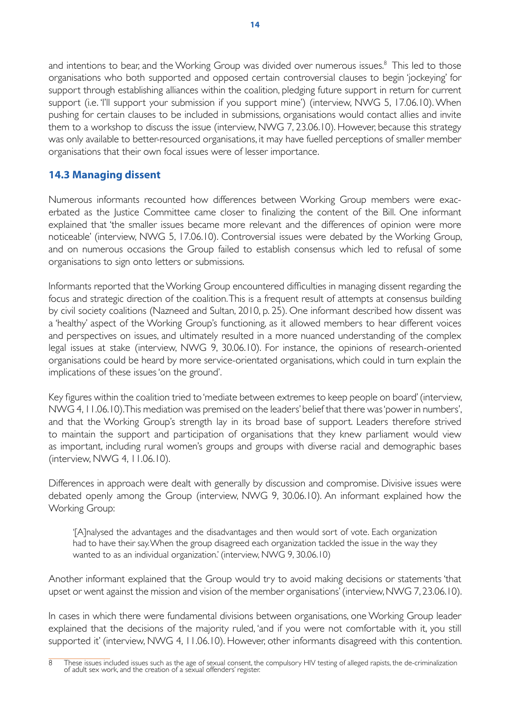and intentions to bear, and the Working Group was divided over numerous issues. $8$  This led to those organisations who both supported and opposed certain controversial clauses to begin 'jockeying' for support through establishing alliances within the coalition, pledging future support in return for current support (i.e. Tll support your submission if you support mine') (interview, NWG 5, 17.06.10). When pushing for certain clauses to be included in submissions, organisations would contact allies and invite them to a workshop to discuss the issue (interview, NWG 7, 23.06.10). However, because this strategy was only available to better-resourced organisations, it may have fuelled perceptions of smaller member organisations that their own focal issues were of lesser importance.

#### **14.3 Managing dissent**

Numerous informants recounted how differences between Working Group members were exacerbated as the Justice Committee came closer to finalizing the content of the Bill. One informant explained that 'the smaller issues became more relevant and the differences of opinion were more noticeable' (interview, NWG 5, 17.06.10). Controversial issues were debated by the Working Group, and on numerous occasions the Group failed to establish consensus which led to refusal of some organisations to sign onto letters or submissions.

Informants reported that the Working Group encountered difficulties in managing dissent regarding the focus and strategic direction of the coalition. This is a frequent result of attempts at consensus building by civil society coalitions (Nazneed and Sultan, 2010, p. 25). One informant described how dissent was a 'healthy' aspect of the Working Group's functioning, as it allowed members to hear different voices and perspectives on issues, and ultimately resulted in a more nuanced understanding of the complex legal issues at stake (interview, NWG 9, 30.06.10). For instance, the opinions of research-oriented organisations could be heard by more service-orientated organisations, which could in turn explain the implications of these issues 'on the ground'.

Key figures within the coalition tried to 'mediate between extremes to keep people on board' (interview, NWG 4, I I.06.10). This mediation was premised on the leaders' belief that there was 'power in numbers', and that the Working Group's strength lay in its broad base of support. Leaders therefore strived to maintain the support and participation of organisations that they knew parliament would view as important, including rural women's groups and groups with diverse racial and demographic bases (interview, NWG 4, 11.06.10).

Differences in approach were dealt with generally by discussion and compromise. Divisive issues were debated openly among the Group (interview, NWG 9, 30.06.10). An informant explained how the Working Group:

'[A]nalysed the advantages and the disadvantages and then would sort of vote. Each organization had to have their say. When the group disagreed each organization tackled the issue in the way they wanted to as an individual organization.' (interview, NWG 9, 30.06.10)

Another informant explained that the Group would try to avoid making decisions or statements 'that upset or went against the mission and vision of the member organisations' (interview, NWG 7, 23.06.10).

In cases in which there were fundamental divisions between organisations, one Working Group leader explained that the decisions of the majority ruled, and if you were not comfortable with it, you still supported it' (interview, NWG 4, 11.06.10). However, other informants disagreed with this contention.

<sup>8</sup> These issues included issues such as the age of sexual consent, the compulsory HIV testing of alleged rapists, the de-criminalization of adult sex work, and the creation of a sexual offenders' register.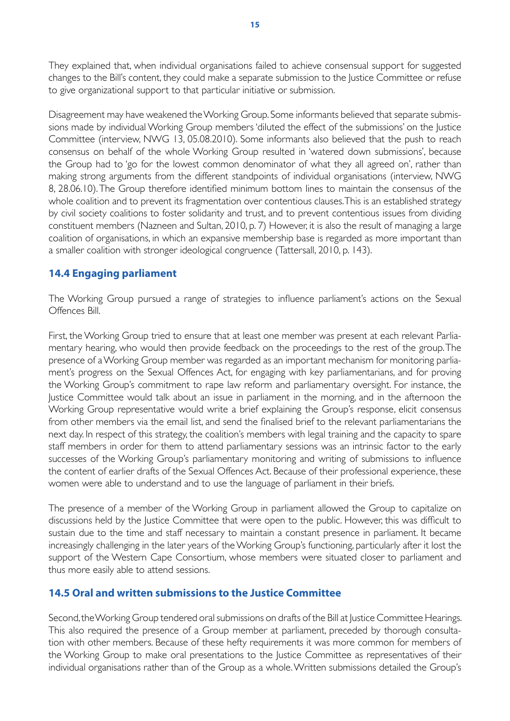They explained that, when individual organisations failed to achieve consensual support for suggested changes to the Bill's content, they could make a separate submission to the Justice Committee or refuse to give organizational support to that particular initiative or submission.

Disagreement may have weakened the Working Group. Some informants believed that separate submissions made by individual Working Group members 'diluted the effect of the submissions' on the lustice Committee (interview, NWG 13, 05.08.2010). Some informants also believed that the push to reach consensus on behalf of the whole Working Group resulted in 'watered down submissions', because the Group had to 'go for the lowest common denominator of what they all agreed on', rather than making strong arguments from the different standpoints of individual organisations (interview, NWG 8, 28.06.10). The Group therefore identified minimum bottom lines to maintain the consensus of the whole coalition and to prevent its fragmentation over contentious clauses. This is an established strategy by civil society coalitions to foster solidarity and trust, and to prevent contentious issues from dividing constituent members (Nazneen and Sultan, 2010, p. 7) However, it is also the result of managing a large coalition of organisations, in which an expansive membership base is regarded as more important than a smaller coalition with stronger ideological congruence (Tattersall, 2010, p. 143).

### **14.4 Engaging parliament**

The Working Group pursued a range of strategies to influence parliament's actions on the Sexual Offences Bill.

First, the Working Group tried to ensure that at least one member was present at each relevant Parliamentary hearing, who would then provide feedback on the proceedings to the rest of the group. The presence of a Working Group member was regarded as an important mechanism for monitoring parliament's progress on the Sexual Offences Act, for engaging with key parliamentarians, and for proving the Working Group's commitment to rape law reform and parliamentary oversight. For instance, the Justice Committee would talk about an issue in parliament in the morning, and in the afternoon the Working Group representative would write a brief explaining the Group's response, elicit consensus from other members via the email list, and send the finalised brief to the relevant parliamentarians the next day. In respect of this strategy, the coalition's members with legal training and the capacity to spare staff members in order for them to attend parliamentary sessions was an intrinsic factor to the early successes of the Working Group's parliamentary monitoring and writing of submissions to influence the content of earlier drafts of the Sexual Offences Act. Because of their professional experience, these women were able to understand and to use the language of parliament in their briefs.

The presence of a member of the Working Group in parliament allowed the Group to capitalize on discussions held by the Justice Committee that were open to the public. However, this was difficult to sustain due to the time and staff necessary to maintain a constant presence in parliament. It became increasingly challenging in the later years of the Working Group's functioning, particularly after it lost the support of the Western Cape Consortium, whose members were situated closer to parliament and thus more easily able to attend sessions.

#### 14.5 Oral and written submissions to the Justice Committee

Second, the Working Group tendered oral submissions on drafts of the Bill at Justice Committee Hearings. This also required the presence of a Group member at parliament, preceded by thorough consultation with other members. Because of these hefty requirements it was more common for members of the Working Group to make oral presentations to the Justice Committee as representatives of their individual organisations rather than of the Group as a whole. Written submissions detailed the Group's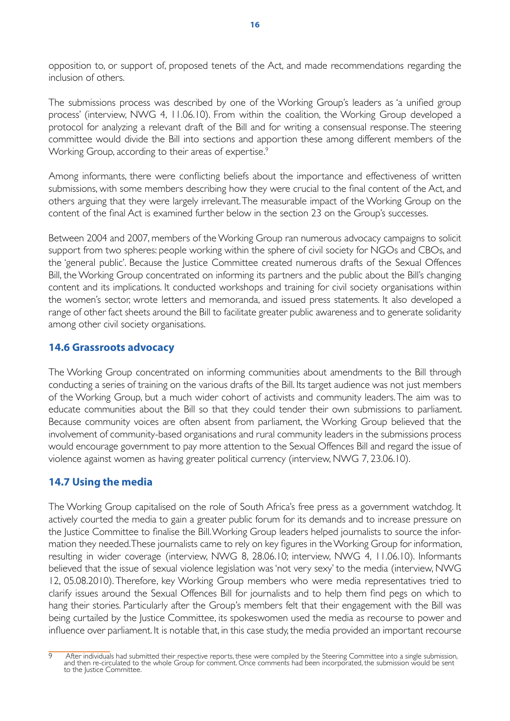opposition to, or support of, proposed tenets of the Act, and made recommendations regarding the inclusion of others.

The submissions process was described by one of the Working Group's leaders as 'a unified group process' (interview, NWG 4, 11.06.10). From within the coalition, the Working Group developed a protocol for analyzing a relevant draft of the Bill and for writing a consensual response. The steering committee would divide the Bill into sections and apportion these among different members of the Working Group, according to their areas of expertise.<sup>9</sup>

Among informants, there were conflicting beliefs about the importance and effectiveness of written submissions, with some members describing how they were crucial to the final content of the Act, and others arguing that they were largely irrelevant. The measurable impact of the Working Group on the content of the final Act is examined further below in the section 23 on the Group's successes.

Between 2004 and 2007, members of the Working Group ran numerous advocacy campaigns to solicit support from two spheres: people working within the sphere of civil society for NGOs and CBOs, and the 'general public'. Because the Justice Committee created numerous drafts of the Sexual Offences Bill, the Working Group concentrated on informing its partners and the public about the Bill's changing content and its implications, It conducted workshops and training for civil society organisations within the women's sector, wrote letters and memoranda, and issued press statements. It also developed a range of other fact sheets around the Bill to facilitate greater public awareness and to generate solidarity among other civil society organisations.

#### **14.6 Grassroots advocacy**

The Working Group concentrated on informing communities about amendments to the Bill through conducting a series of training on the various drafts of the Bill. Its target audience was not just members of the Working Group, but a much wider cohort of activists and community leaders. The aim was to educate communities about the Bill so that they could tender their own submissions to parliament. Because community voices are often absent from parliament, the Working Group believed that the involvement of community-based organisations and rural community leaders in the submissions process would encourage government to pay more attention to the Sexual Offences Bill and regard the issue of violence against women as having greater political currency (interview, NWG 7, 23.06.10).

#### **14.7 Using the media**

The Working Group capitalised on the role of South Africa's free press as a government watchdog. It actively courted the media to gain a greater public forum for its demands and to increase pressure on the Justice Committee to finalise the Bill, Working Group leaders helped journalists to source the information they needed. These journalists came to rely on key figures in the Working Group for information, resulting in wider coverage (interview, NWG 8, 28.06.10; interview, NWG 4, 11.06.10). Informants believed that the issue of sexual violence legislation was 'not very sexy' to the media (interview, NWG 12, 05.08.2010). Therefore, key Working Group members who were media representatives tried to clarify issues around the Sexual Offences Bill for journalists and to help them find pegs on which to hang their stories. Particularly after the Group's members felt that their engagement with the Bill was being curtailed by the Justice Committee, its spokeswomen used the media as recourse to power and influence over parliament. It is notable that, in this case study, the media provided an important recourse

After individuals had submitted their respective reports, these were compiled by the Steering Committee into a single submission, and then re-circulated to the whole Group for comment. Once comments had been incorporated,  $\overline{Q}$ to the Justice Committee.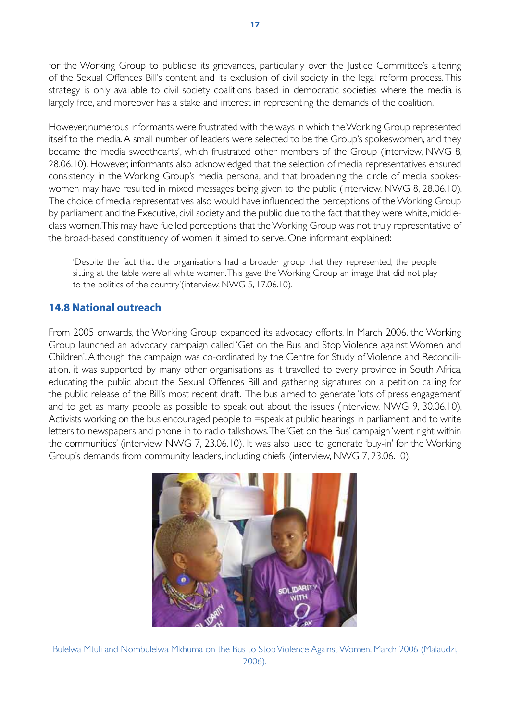for the Working Group to publicise its grievances, particularly over the Justice Committee's altering of the Sexual Offences Bill's content and its exclusion of civil society in the legal reform process. This strategy is only available to civil society coalitions based in democratic societies where the media is largely free, and moreover has a stake and interest in representing the demands of the coalition.

However, numerous informants were frustrated with the ways in which the Working Group represented itself to the media. A small number of leaders were selected to be the Group's spokeswomen, and they became the 'media sweethearts', which frustrated other members of the Group (interview, NWG 8, 28.06.10). However, informants also acknowledged that the selection of media representatives ensured consistency in the Working Group's media persona, and that broadening the circle of media spokeswomen may have resulted in mixed messages being given to the public (interview, NWG 8, 28.06.10). The choice of media representatives also would have influenced the perceptions of the Working Group by parliament and the Executive, civil society and the public due to the fact that they were white, middleclass women. This may have fuelled perceptions that the Working Group was not truly representative of the broad-based constituency of women it aimed to serve. One informant explained:

'Despite the fact that the organisations had a broader group that they represented, the people sitting at the table were all white women. This gave the Working Group an image that did not play to the politics of the country' (interview, NWG 5, 17.06.10).

#### **14.8 National outreach**

From 2005 onwards, the Working Group expanded its advocacy efforts. In March 2006, the Working Group launched an advocacy campaign called 'Get on the Bus and Stop Violence against Women and Children'. Although the campaign was co-ordinated by the Centre for Study of Violence and Reconciliation, it was supported by many other organisations as it travelled to every province in South Africa, educating the public about the Sexual Offences Bill and gathering signatures on a petition calling for the public release of the Bill's most recent draft. The bus aimed to generate 'lots of press engagement' and to get as many people as possible to speak out about the issues (interview, NWG 9, 30.06.10). Activists working on the bus encouraged people to =speak at public hearings in parliament, and to write letters to newspapers and phone in to radio talkshows. The 'Get on the Bus' campaign 'went right within the communities' (interview, NWG 7, 23.06.10). It was also used to generate 'buy-in' for the Working Group's demands from community leaders, including chiefs. (interview, NWG 7, 23.06.10).



Bulelwa Mtuli and Nombulelwa Mkhuma on the Bus to Stop Violence Against Women, March 2006 (Malaudzi,  $2006$ ).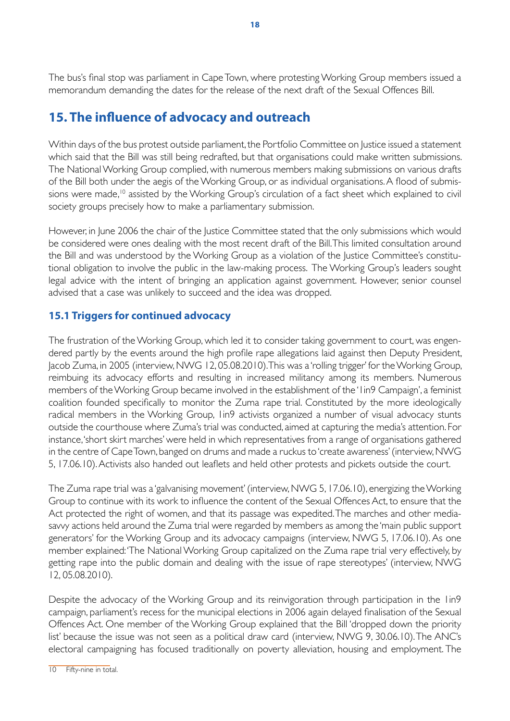The bus's final stop was parliament in Cape Town, where protesting Working Group members issued a memorandum demanding the dates for the release of the next draft of the Sexual Offences Bill.

# 15. The influence of advocacy and outreach

Within days of the bus protest outside parliament, the Portfolio Committee on Justice issued a statement which said that the Bill was still being redrafted, but that organisations could make written submissions. The National Working Group complied, with numerous members making submissions on various drafts of the Bill both under the aegis of the Working Group, or as individual organisations. A flood of submissions were made,<sup>10</sup> assisted by the Working Group's circulation of a fact sheet which explained to civil society groups precisely how to make a parliamentary submission.

However, in June 2006 the chair of the Justice Committee stated that the only submissions which would be considered were ones dealing with the most recent draft of the Bill. This limited consultation around the Bill and was understood by the Working Group as a violation of the Justice Committee's constitutional obligation to involve the public in the law-making process. The Working Group's leaders sought legal advice with the intent of bringing an application against government. However, senior counsel advised that a case was unlikely to succeed and the idea was dropped.

### **15.1 Triggers for continued advocacy**

The frustration of the Working Group, which led it to consider taking government to court, was engendered partly by the events around the high profile rape allegations laid against then Deputy President, Jacob Zuma, in 2005 (interview, NWG 12, 05.08.2010). This was a 'rolling trigger' for the Working Group, reimbuing its advocacy efforts and resulting in increased militancy among its members. Numerous members of the Working Group became involved in the establishment of the 'lin9 Campaign', a feminist coalition founded specifically to monitor the Zuma rape trial. Constituted by the more ideologically radical members in the Working Group, I in 9 activists organized a number of visual advocacy stunts outside the courthouse where Zuma's trial was conducted, aimed at capturing the media's attention. For instance, 'short skirt marches' were held in which representatives from a range of organisations gathered in the centre of Cape Town, banged on drums and made a ruckus to 'create awareness' (interview, NWG 5, 17.06.10). Activists also handed out leaflets and held other protests and pickets outside the court.

The Zuma rape trial was a 'galvanising movement' (interview, NWG 5, 17.06.10), energizing the Working Group to continue with its work to influence the content of the Sexual Offences Act, to ensure that the Act protected the right of women, and that its passage was expedited. The marches and other mediasavvy actions held around the Zuma trial were regarded by members as among the 'main public support generators' for the Working Group and its advocacy campaigns (interview, NWG 5, 17.06.10). As one member explained: 'The National Working Group capitalized on the Zuma rape trial very effectively, by getting rape into the public domain and dealing with the issue of rape stereotypes' (interview, NWG  $12,05.08.2010$ .

Despite the advocacy of the Working Group and its reinvigoration through participation in the lin9 campaign, parliament's recess for the municipal elections in 2006 again delayed finalisation of the Sexual Offences Act. One member of the Working Group explained that the Bill 'dropped down the priority list' because the issue was not seen as a political draw card (interview, NWG 9, 30.06.10). The ANC's electoral campaigning has focused traditionally on poverty alleviation, housing and employment. The

<sup>10</sup> Fifty-nine in total.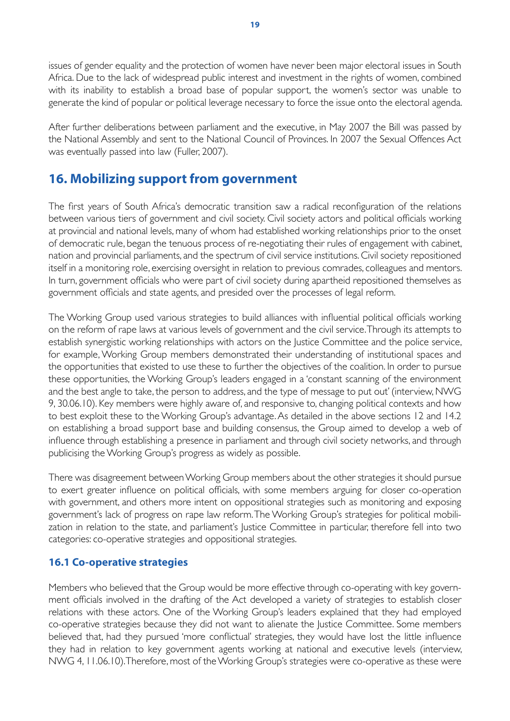issues of gender equality and the protection of women have never been major electoral issues in South Africa. Due to the lack of widespread public interest and investment in the rights of women, combined with its inability to establish a broad base of popular support, the women's sector was unable to generate the kind of popular or political leverage necessary to force the issue onto the electoral agenda.

After further deliberations between parliament and the executive, in May 2007 the Bill was passed by the National Assembly and sent to the National Council of Provinces. In 2007 the Sexual Offences Act was eventually passed into law (Fuller, 2007).

# **16. Mobilizing support from government**

The first years of South Africa's democratic transition saw a radical reconfiguration of the relations between various tiers of government and civil society. Civil society actors and political officials working at provincial and national levels, many of whom had established working relationships prior to the onset of democratic rule, began the tenuous process of re-negotiating their rules of engagement with cabinet, nation and provincial parliaments, and the spectrum of civil service institutions. Civil society repositioned itself in a monitoring role, exercising oversight in relation to previous comrades, colleagues and mentors. In turn, government officials who were part of civil society during apartheid repositioned themselves as government officials and state agents, and presided over the processes of legal reform.

The Working Group used various strategies to build alliances with influential political officials working on the reform of rape laws at various levels of government and the civil service. Through its attempts to establish synergistic working relationships with actors on the Justice Committee and the police service, for example, Working Group members demonstrated their understanding of institutional spaces and the opportunities that existed to use these to further the objectives of the coalition. In order to pursue these opportunities, the Working Group's leaders engaged in a 'constant scanning of the environment and the best angle to take, the person to address, and the type of message to put out' (interview, NWG 9, 30.06.10). Key members were highly aware of, and responsive to, changing political contexts and how to best exploit these to the Working Group's advantage. As detailed in the above sections 12 and 14.2 on establishing a broad support base and building consensus, the Group aimed to develop a web of influence through establishing a presence in parliament and through civil society networks, and through publicising the Working Group's progress as widely as possible.

There was disagreement between Working Group members about the other strategies it should pursue to exert greater influence on political officials, with some members arguing for closer co-operation with government, and others more intent on oppositional strategies such as monitoring and exposing government's lack of progress on rape law reform. The Working Group's strategies for political mobilization in relation to the state, and parliament's Justice Committee in particular, therefore fell into two categories: co-operative strategies and oppositional strategies.

### **16.1 Co-operative strategies**

Members who believed that the Group would be more effective through co-operating with key government officials involved in the drafting of the Act developed a variety of strategies to establish closer relations with these actors. One of the Working Group's leaders explained that they had employed co-operative strategies because they did not want to alienate the Justice Committee. Some members believed that, had they pursued 'more conflictual' strategies, they would have lost the little influence they had in relation to key government agents working at national and executive levels (interview, NWG 4, 11.06.10). Therefore, most of the Working Group's strategies were co-operative as these were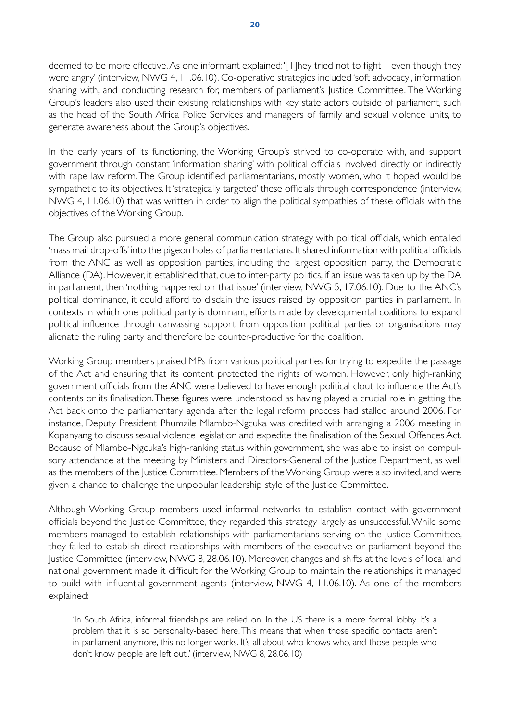deemed to be more effective. As one informant explained: '[T]hey tried not to fight – even though they were angry' (interview, NWG 4, 11.06.10). Co-operative strategies included 'soft advocacy', information sharing with, and conducting research for, members of parliament's lustice Committee. The Working Group's leaders also used their existing relationships with key state actors outside of parliament, such as the head of the South Africa Police Services and managers of family and sexual violence units, to generate awareness about the Group's objectives.

In the early years of its functioning, the Working Group's strived to co-operate with, and support government through constant 'information sharing' with political officials involved directly or indirectly with rape law reform. The Group identified parliamentarians, mostly women, who it hoped would be sympathetic to its objectives. It 'strategically targeted' these officials through correspondence (interview, NWG 4, 11.06.10) that was written in order to align the political sympathies of these officials with the objectives of the Working Group.

The Group also pursued a more general communication strategy with political officials, which entailed 'mass mail drop-offs' into the pigeon holes of parliamentarians. It shared information with political officials from the ANC as well as opposition parties, including the largest opposition party, the Democratic Alliance (DA). However, it established that, due to inter-party politics, if an issue was taken up by the DA in parliament, then 'nothing happened on that issue' (interview, NWG 5, 17.06.10). Due to the ANC's political dominance, it could afford to disdain the issues raised by opposition parties in parliament. In contexts in which one political party is dominant, efforts made by developmental coalitions to expand political influence through canvassing support from opposition political parties or organisations may alienate the ruling party and therefore be counter-productive for the coalition.

Working Group members praised MPs from various political parties for trying to expedite the passage of the Act and ensuring that its content protected the rights of women. However, only high-ranking government officials from the ANC were believed to have enough political clout to influence the Act's contents or its finalisation. These figures were understood as having played a crucial role in getting the Act back onto the parliamentary agenda after the legal reform process had stalled around 2006. For instance, Deputy President Phumzile Mlambo-Ngcuka was credited with arranging a 2006 meeting in Kopanyang to discuss sexual violence legislation and expedite the finalisation of the Sexual Offences Act. Because of Mlambo-Ngcuka's high-ranking status within government, she was able to insist on compulsory attendance at the meeting by Ministers and Directors-General of the Justice Department, as well as the members of the Justice Committee. Members of the Working Group were also invited, and were given a chance to challenge the unpopular leadership style of the Justice Committee.

Although Working Group members used informal networks to establish contact with government officials beyond the Justice Committee, they regarded this strategy largely as unsuccessful. While some members managed to establish relationships with parliamentarians serving on the Justice Committee, they failed to establish direct relationships with members of the executive or parliament beyond the Justice Committee (interview, NWG 8, 28.06.10). Moreover, changes and shifts at the levels of local and national government made it difficult for the Working Group to maintain the relationships it managed to build with influential government agents (interview, NWG 4, 11.06.10). As one of the members explained:

'In South Africa, informal friendships are relied on. In the US there is a more formal lobby. It's a problem that it is so personality-based here. This means that when those specific contacts aren't in parliament anymore, this no longer works. It's all about who knows who, and those people who don't know people are left out'.' (interview, NWG 8, 28.06.10)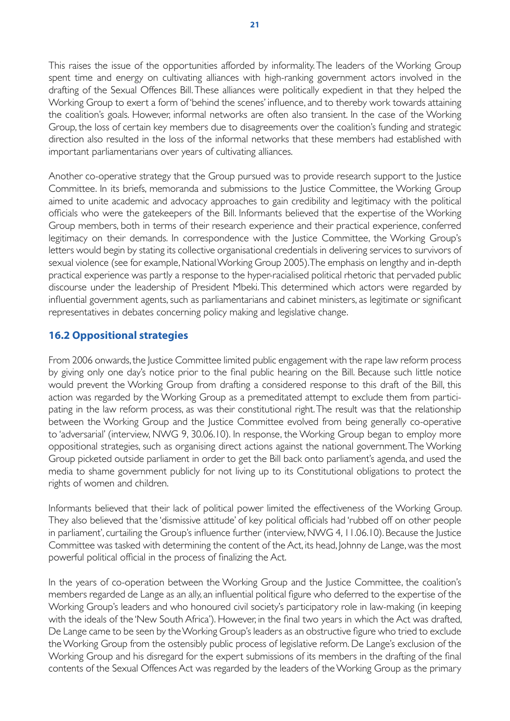This raises the issue of the opportunities afforded by informality. The leaders of the Working Group spent time and energy on cultivating alliances with high-ranking government actors involved in the drafting of the Sexual Offences Bill. These alliances were politically expedient in that they helped the Working Group to exert a form of 'behind the scenes' influence, and to thereby work towards attaining the coalition's goals. However, informal networks are often also transient. In the case of the Working Group, the loss of certain key members due to disagreements over the coalition's funding and strategic direction also resulted in the loss of the informal networks that these members had established with important parliamentarians over years of cultivating alliances.

Another co-operative strategy that the Group pursued was to provide research support to the Justice Committee. In its briefs, memoranda and submissions to the Justice Committee, the Working Group aimed to unite academic and advocacy approaches to gain credibility and legitimacy with the political officials who were the gatekeepers of the Bill, Informants believed that the expertise of the Working Group members, both in terms of their research experience and their practical experience, conferred legitimacy on their demands. In correspondence with the Justice Committee, the Working Group's letters would begin by stating its collective organisational credentials in delivering services to survivors of sexual violence (see for example, National Working Group 2005). The emphasis on lengthy and in-depth practical experience was partly a response to the hyper-racialised political rhetoric that pervaded public discourse under the leadership of President Mbeki. This determined which actors were regarded by influential government agents, such as parliamentarians and cabinet ministers, as legitimate or significant representatives in debates concerning policy making and legislative change.

#### **16.2 Oppositional strategies**

From 2006 onwards, the Justice Committee limited public engagement with the rape law reform process by giving only one day's notice prior to the final public hearing on the Bill. Because such little notice would prevent the Working Group from drafting a considered response to this draft of the Bill, this action was regarded by the Working Group as a premeditated attempt to exclude them from participating in the law reform process, as was their constitutional right. The result was that the relationship between the Working Group and the Justice Committee evolved from being generally co-operative to 'adversarial' (interview, NWG 9, 30.06.10). In response, the Working Group began to employ more oppositional strategies, such as organising direct actions against the national government. The Working Group picketed outside parliament in order to get the Bill back onto parliament's agenda, and used the media to shame government publicly for not living up to its Constitutional obligations to protect the rights of women and children.

Informants believed that their lack of political power limited the effectiveness of the Working Group. They also believed that the 'dismissive attitude' of key political officials had 'rubbed off on other people in parliament', curtailing the Group's influence further (interview, NWG 4, 11.06.10). Because the Justice Committee was tasked with determining the content of the Act, its head, Johnny de Lange, was the most powerful political official in the process of finalizing the Act.

In the years of co-operation between the Working Group and the Justice Committee, the coalition's members regarded de Lange as an ally, an influential political figure who deferred to the expertise of the Working Group's leaders and who honoured civil society's participatory role in law-making (in keeping with the ideals of the 'New South Africa'). However, in the final two years in which the Act was drafted, De Lange came to be seen by the Working Group's leaders as an obstructive figure who tried to exclude the Working Group from the ostensibly public process of legislative reform. De Lange's exclusion of the Working Group and his disregard for the expert submissions of its members in the drafting of the final contents of the Sexual Offences Act was regarded by the leaders of the Working Group as the primary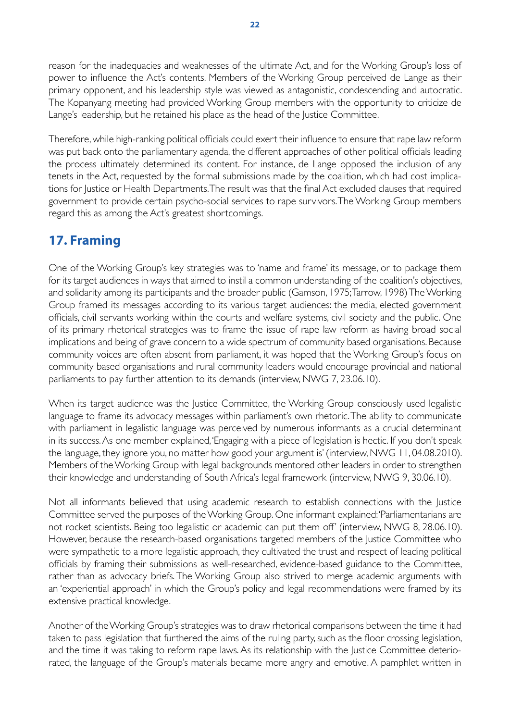reason for the inadequacies and weaknesses of the ultimate Act, and for the Working Group's loss of power to influence the Act's contents. Members of the Working Group perceived de Lange as their primary opponent, and his leadership style was viewed as antagonistic, condescending and autocratic. The Kopanyang meeting had provided Working Group members with the opportunity to criticize de Lange's leadership, but he retained his place as the head of the Justice Committee.

Therefore, while high-ranking political officials could exert their influence to ensure that rape law reform was put back onto the parliamentary agenda, the different approaches of other political officials leading the process ultimately determined its content. For instance, de Lange opposed the inclusion of any tenets in the Act, requested by the formal submissions made by the coalition, which had cost implications for Justice or Health Departments. The result was that the final Act excluded clauses that required government to provide certain psycho-social services to rape survivors. The Working Group members regard this as among the Act's greatest shortcomings.

# 17. Framing

One of the Working Group's key strategies was to 'name and frame' its message, or to package them for its target audiences in ways that aimed to instil a common understanding of the coalition's objectives, and solidarity among its participants and the broader public (Gamson, 1975; Tarrow, 1998) The Working Group framed its messages according to its various target audiences: the media, elected government officials, civil servants working within the courts and welfare systems, civil society and the public. One of its primary rhetorical strategies was to frame the issue of rape law reform as having broad social implications and being of grave concern to a wide spectrum of community based organisations. Because community voices are often absent from parliament, it was hoped that the Working Group's focus on community based organisations and rural community leaders would encourage provincial and national parliaments to pay further attention to its demands (interview, NWG 7, 23.06.10).

When its target audience was the Justice Committee, the Working Group consciously used legalistic language to frame its advocacy messages within parliament's own rhetoric. The ability to communicate with parliament in legalistic language was perceived by numerous informants as a crucial determinant in its success. As one member explained, 'Engaging with a piece of legislation is hectic. If you don't speak the language, they ignore you, no matter how good your argument is' (interview, NWG 11, 04.08.2010). Members of the Working Group with legal backgrounds mentored other leaders in order to strengthen their knowledge and understanding of South Africa's legal framework (interview, NWG 9, 30.06.10).

Not all informants believed that using academic research to establish connections with the Justice Committee served the purposes of the Working Group. One informant explained: 'Parliamentarians are not rocket scientists. Being too legalistic or academic can put them off' (interview, NWG 8, 28.06.10). However, because the research-based organisations targeted members of the Justice Committee who were sympathetic to a more legalistic approach, they cultivated the trust and respect of leading political officials by framing their submissions as well-researched, evidence-based guidance to the Committee, rather than as advocacy briefs. The Working Group also strived to merge academic arguments with an 'experiential approach' in which the Group's policy and legal recommendations were framed by its extensive practical knowledge.

Another of the Working Group's strategies was to draw rhetorical comparisons between the time it had taken to pass legislation that furthered the aims of the ruling party, such as the floor crossing legislation, and the time it was taking to reform rape laws. As its relationship with the Justice Committee deteriorated, the language of the Group's materials became more angry and emotive. A pamphlet written in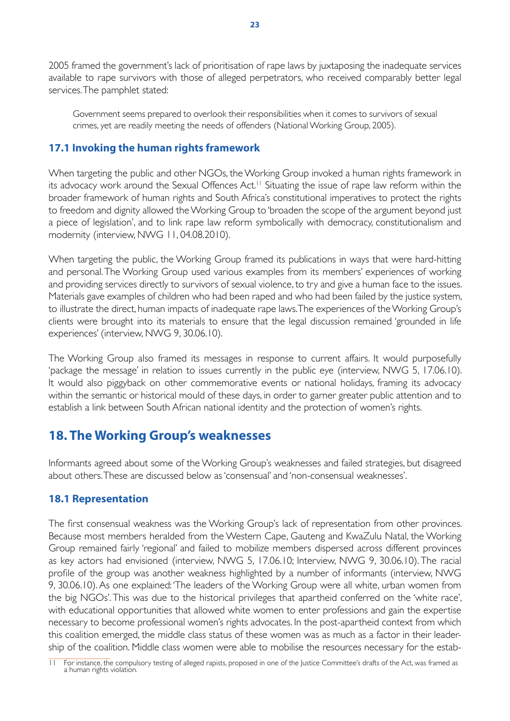2005 framed the government's lack of prioritisation of rape laws by juxtaposing the inadequate services available to rape survivors with those of alleged perpetrators, who received comparably better legal services. The pamphlet stated:

Government seems prepared to overlook their responsibilities when it comes to survivors of sexual crimes, yet are readily meeting the needs of offenders (National Working Group, 2005).

#### 17.1 Invoking the human rights framework

When targeting the public and other NGOs, the Working Group invoked a human rights framework in its advocacy work around the Sexual Offences Act.<sup>11</sup> Situating the issue of rape law reform within the broader framework of human rights and South Africa's constitutional imperatives to protect the rights to freedom and dignity allowed the Working Group to 'broaden the scope of the argument beyond just a piece of legislation', and to link rape law reform symbolically with democracy, constitutionalism and modernity (interview, NWG 11, 04.08.2010).

When targeting the public, the Working Group framed its publications in ways that were hard-hitting and personal. The Working Group used various examples from its members' experiences of working and providing services directly to survivors of sexual violence, to try and give a human face to the issues. Materials gave examples of children who had been raped and who had been failed by the justice system, to illustrate the direct, human impacts of inadequate rape laws. The experiences of the Working Group's clients were brought into its materials to ensure that the legal discussion remained 'grounded in life experiences' (interview, NWG 9, 30.06.10).

The Working Group also framed its messages in response to current affairs. It would purposefully 'package the message' in relation to issues currently in the public eye (interview, NWG 5, 17.06.10). It would also piggyback on other commemorative events or national holidays, framing its advocacy within the semantic or historical mould of these days, in order to garner greater public attention and to establish a link between South African national identity and the protection of women's rights.

### **18. The Working Group's weaknesses**

Informants agreed about some of the Working Group's weaknesses and failed strategies, but disagreed about others. These are discussed below as 'consensual' and 'non-consensual weaknesses'.

#### **18.1 Representation**

The first consensual weakness was the Working Group's lack of representation from other provinces. Because most members heralded from the Western Cape, Gauteng and KwaZulu Natal, the Working Group remained fairly 'regional' and failed to mobilize members dispersed across different provinces as key actors had envisioned (interview, NWG 5, 17.06.10; Interview, NWG 9, 30.06.10). The racial profile of the group was another weakness highlighted by a number of informants (interview, NWG 9, 30.06.10). As one explained: 'The leaders of the Working Group were all white, urban women from the big NGOs'. This was due to the historical privileges that apartheid conferred on the 'white race', with educational opportunities that allowed white women to enter professions and gain the expertise necessary to become professional women's rights advocates. In the post-apartheid context from which this coalition emerged, the middle class status of these women was as much as a factor in their leadership of the coalition. Middle class women were able to mobilise the resources necessary for the estab-

 $\overline{\mathbb{H}}$ For instance, the compulsory testing of alleged rapists, proposed in one of the Justice Committee's drafts of the Act, was framed as a human rights violation.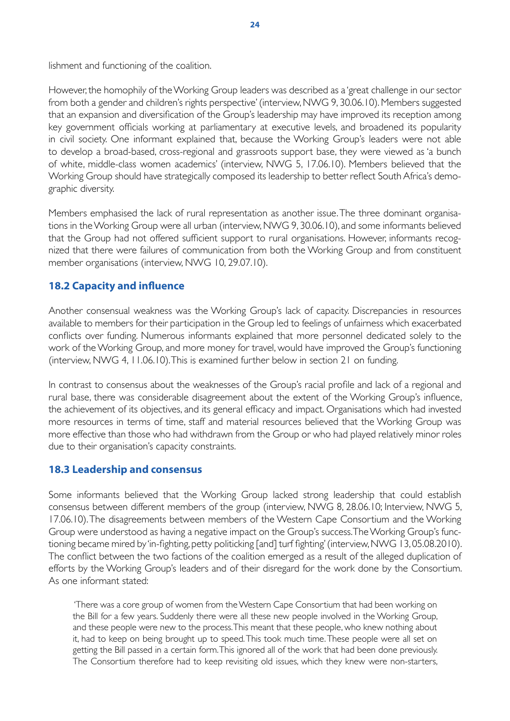lishment and functioning of the coalition.

However, the homophily of the Working Group leaders was described as a 'great challenge in our sector from both a gender and children's rights perspective' (interview, NWG 9, 30.06.10). Members suggested that an expansion and diversification of the Group's leadership may have improved its reception among key government officials working at parliamentary at executive levels, and broadened its popularity in civil society. One informant explained that, because the Working Group's leaders were not able to develop a broad-based, cross-regional and grassroots support base, they were viewed as 'a bunch of white, middle-class women academics' (interview, NWG 5, 17.06.10). Members believed that the Working Group should have strategically composed its leadership to better reflect South Africa's demographic diversity.

Members emphasised the lack of rural representation as another issue. The three dominant organisations in the Working Group were all urban (interview, NWG 9, 30.06.10), and some informants believed that the Group had not offered sufficient support to rural organisations. However, informants recognized that there were failures of communication from both the Working Group and from constituent member organisations (interview, NWG 10, 29.07.10).

#### **18.2 Capacity and influence**

Another consensual weakness was the Working Group's lack of capacity. Discrepancies in resources available to members for their participation in the Group led to feelings of unfairness which exacerbated conflicts over funding. Numerous informants explained that more personnel dedicated solely to the work of the Working Group, and more money for travel, would have improved the Group's functioning (interview, NWG 4, 11.06.10). This is examined further below in section 21 on funding.

In contrast to consensus about the weaknesses of the Group's racial profile and lack of a regional and rural base, there was considerable disagreement about the extent of the Working Group's influence, the achievement of its objectives, and its general efficacy and impact. Organisations which had invested more resources in terms of time, staff and material resources believed that the Working Group was more effective than those who had withdrawn from the Group or who had played relatively minor roles due to their organisation's capacity constraints.

#### **18.3 Leadership and consensus**

Some informants believed that the Working Group lacked strong leadership that could establish consensus between different members of the group (interview, NWG 8, 28.06.10; Interview, NWG 5, 17.06.10). The disagreements between members of the Western Cape Consortium and the Working Group were understood as having a negative impact on the Group's success. The Working Group's functioning became mired by 'in-fighting, petty politicking [and] turf fighting' (interview, NWG 13,05.08.2010). The conflict between the two factions of the coalition emerged as a result of the alleged duplication of efforts by the Working Group's leaders and of their disregard for the work done by the Consortium. As one informant stated:

'There was a core group of women from the Western Cape Consortium that had been working on the Bill for a few years. Suddenly there were all these new people involved in the Working Group, and these people were new to the process. This meant that these people, who knew nothing about it, had to keep on being brought up to speed. This took much time. These people were all set on getting the Bill passed in a certain form. This ignored all of the work that had been done previously. The Consortium therefore had to keep revisiting old issues, which they knew were non-starters,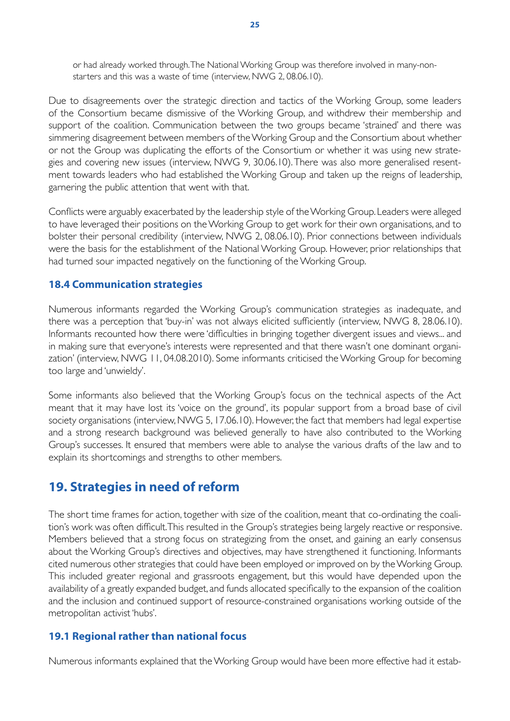or had already worked through. The National Working Group was therefore involved in many-nonstarters and this was a waste of time (interview, NWG 2, 08.06.10).

Due to disagreements over the strategic direction and tactics of the Working Group, some leaders of the Consortium became dismissive of the Working Group, and withdrew their membership and support of the coalition. Communication between the two groups became 'strained' and there was simmering disagreement between members of the Working Group and the Consortium about whether or not the Group was duplicating the efforts of the Consortium or whether it was using new strategies and covering new issues (interview, NWG 9, 30.06.10). There was also more generalised resentment towards leaders who had established the Working Group and taken up the reigns of leadership, garnering the public attention that went with that.

Conflicts were arguably exacerbated by the leadership style of the Working Group. Leaders were alleged to have leveraged their positions on the Working Group to get work for their own organisations, and to bolster their personal credibility (interview, NWG 2, 08.06.10). Prior connections between individuals were the basis for the establishment of the National Working Group. However, prior relationships that had turned sour impacted negatively on the functioning of the Working Group.

#### **18.4 Communication strategies**

Numerous informants regarded the Working Group's communication strategies as inadequate, and there was a perception that 'buy-in' was not always elicited sufficiently (interview, NWG 8, 28.06.10). Informants recounted how there were 'difficulties in bringing together divergent issues and views... and in making sure that everyone's interests were represented and that there wasn't one dominant organization' (interview, NWG 11, 04.08.2010). Some informants criticised the Working Group for becoming too large and 'unwieldy'.

Some informants also believed that the Working Group's focus on the technical aspects of the Act meant that it may have lost its 'voice on the ground', its popular support from a broad base of civil society organisations (interview, NWG 5, 17.06.10). However, the fact that members had legal expertise and a strong research background was believed generally to have also contributed to the Working Group's successes. It ensured that members were able to analyse the various drafts of the law and to explain its shortcomings and strengths to other members.

### 19. Strategies in need of reform

The short time frames for action, together with size of the coalition, meant that co-ordinating the coalition's work was often difficult. This resulted in the Group's strategies being largely reactive or responsive. Members believed that a strong focus on strategizing from the onset, and gaining an early consensus about the Working Group's directives and objectives, may have strengthened it functioning. Informants cited numerous other strategies that could have been employed or improved on by the Working Group. This included greater regional and grassroots engagement, but this would have depended upon the availability of a greatly expanded budget, and funds allocated specifically to the expansion of the coalition and the inclusion and continued support of resource-constrained organisations working outside of the metropolitan activist 'hubs'.

#### 19.1 Regional rather than national focus

Numerous informants explained that the Working Group would have been more effective had it estab-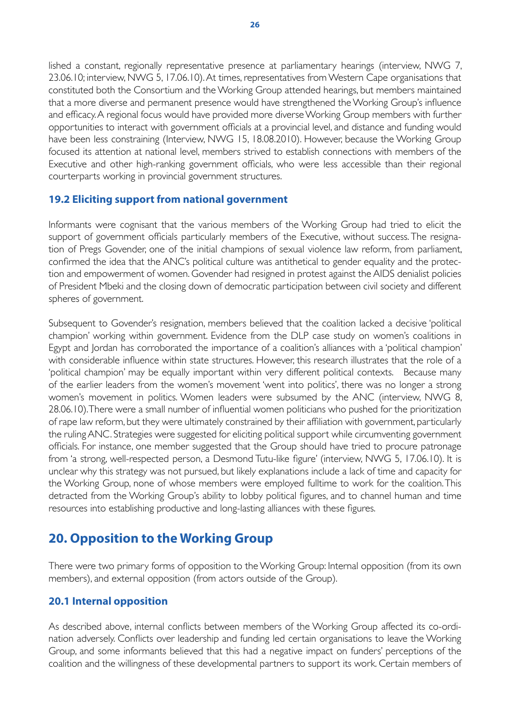lished a constant, regionally representative presence at parliamentary hearings (interview, NWG 7, 23.06.10; interview, NWG 5, 17.06.10). At times, representatives from Western Cape organisations that constituted both the Consortium and the Working Group attended hearings, but members maintained that a more diverse and permanent presence would have strengthened the Working Group's influence and efficacy. A regional focus would have provided more diverse Working Group members with further opportunities to interact with government officials at a provincial level, and distance and funding would have been less constraining (Interview, NWG 15, 18.08.2010). However, because the Working Group focused its attention at national level, members strived to establish connections with members of the Executive and other high-ranking government officials, who were less accessible than their regional courterparts working in provincial government structures.

#### **19.2 Eliciting support from national government**

Informants were cognisant that the various members of the Working Group had tried to elicit the support of government officials particularly members of the Executive, without success. The resignation of Pregs Govender, one of the initial champions of sexual violence law reform, from parliament, confirmed the idea that the ANC's political culture was antithetical to gender equality and the protection and empowerment of women. Govender had resigned in protest against the AIDS denialist policies of President Mbeki and the closing down of democratic participation between civil society and different spheres of government.

Subsequent to Govender's resignation, members believed that the coalition lacked a decisive 'political champion' working within government. Evidence from the DLP case study on women's coalitions in Egypt and Jordan has corroborated the importance of a coalition's alliances with a 'political champion' with considerable influence within state structures. However, this research illustrates that the role of a 'political champion' may be equally important within very different political contexts. Because many of the earlier leaders from the women's movement 'went into politics', there was no longer a strong women's movement in politics. Women leaders were subsumed by the ANC (interview, NWG 8, 28.06.10). There were a small number of influential women politicians who pushed for the prioritization of rape law reform, but they were ultimately constrained by their affiliation with government, particularly the ruling ANC. Strategies were suggested for eliciting political support while circumventing government officials. For instance, one member suggested that the Group should have tried to procure patronage from 'a strong, well-respected person, a Desmond Tutu-like figure' (interview, NWG 5, 17.06.10). It is unclear why this strategy was not pursued, but likely explanations include a lack of time and capacity for the Working Group, none of whose members were employed fulltime to work for the coalition. This detracted from the Working Group's ability to lobby political figures, and to channel human and time resources into establishing productive and long-lasting alliances with these figures.

# **20. Opposition to the Working Group**

There were two primary forms of opposition to the Working Group: Internal opposition (from its own members), and external opposition (from actors outside of the Group).

#### **20.1 Internal opposition**

As described above, internal conflicts between members of the Working Group affected its co-ordination adversely. Conflicts over leadership and funding led certain organisations to leave the Working Group, and some informants believed that this had a negative impact on funders' perceptions of the coalition and the willingness of these developmental partners to support its work. Certain members of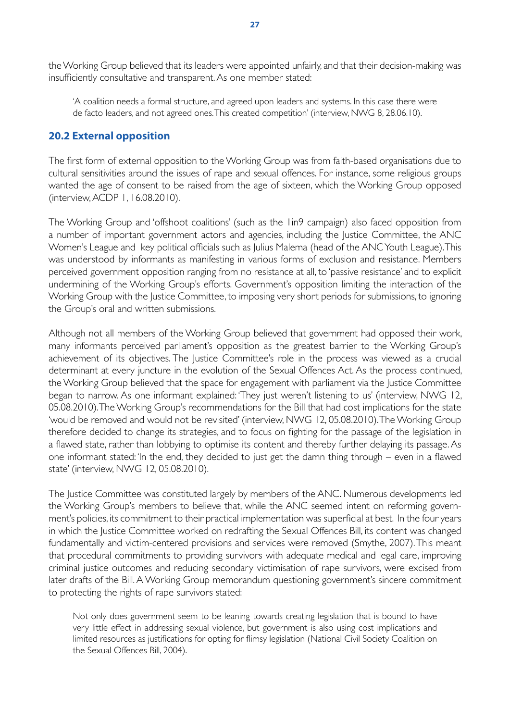the Working Group believed that its leaders were appointed unfairly, and that their decision-making was insufficiently consultative and transparent. As one member stated:

'A coalition needs a formal structure, and agreed upon leaders and systems. In this case there were de facto leaders, and not agreed ones. This created competition' (interview, NWG 8, 28.06.10).

#### **20.2 External opposition**

The first form of external opposition to the Working Group was from faith-based organisations due to cultural sensitivities around the issues of rape and sexual offences. For instance, some religious groups wanted the age of consent to be raised from the age of sixteen, which the Working Group opposed (interview, ACDP 1, 16.08.2010).

The Working Group and 'offshoot coalitions' (such as the lin9 campaign) also faced opposition from a number of important government actors and agencies, including the Justice Committee, the ANC Women's League and key political officials such as Julius Malema (head of the ANC Youth League). This was understood by informants as manifesting in various forms of exclusion and resistance. Members perceived government opposition ranging from no resistance at all, to 'passive resistance' and to explicit undermining of the Working Group's efforts. Government's opposition limiting the interaction of the Working Group with the Justice Committee, to imposing very short periods for submissions, to ignoring the Group's oral and written submissions.

Although not all members of the Working Group believed that government had opposed their work, many informants perceived parliament's opposition as the greatest barrier to the Working Group's achievement of its objectives. The Justice Committee's role in the process was viewed as a crucial determinant at every juncture in the evolution of the Sexual Offences Act. As the process continued, the Working Group believed that the space for engagement with parliament via the Justice Committee began to narrow. As one informant explained: 'They just weren't listening to us' (interview, NWG 12, 05.08.2010). The Working Group's recommendations for the Bill that had cost implications for the state 'would be removed and would not be revisited' (interview, NWG 12, 05.08.2010). The Working Group therefore decided to change its strategies, and to focus on fighting for the passage of the legislation in a flawed state, rather than lobbying to optimise its content and thereby further delaying its passage. As one informant stated: 'In the end, they decided to just get the damn thing through – even in a flawed state' (interview, NWG 12, 05.08.2010).

The Justice Committee was constituted largely by members of the ANC. Numerous developments led the Working Group's members to believe that, while the ANC seemed intent on reforming government's policies, its commitment to their practical implementation was superficial at best. In the four years in which the Justice Committee worked on redrafting the Sexual Offences Bill, its content was changed fundamentally and victim-centered provisions and services were removed (Smythe, 2007). This meant that procedural commitments to providing survivors with adequate medical and legal care, improving criminal justice outcomes and reducing secondary victimisation of rape survivors, were excised from later drafts of the Bill. A Working Group memorandum questioning government's sincere commitment to protecting the rights of rape survivors stated:

Not only does government seem to be leaning towards creating legislation that is bound to have very little effect in addressing sexual violence, but government is also using cost implications and limited resources as justifications for opting for flimsy legislation (National Civil Society Coalition on the Sexual Offences Bill, 2004).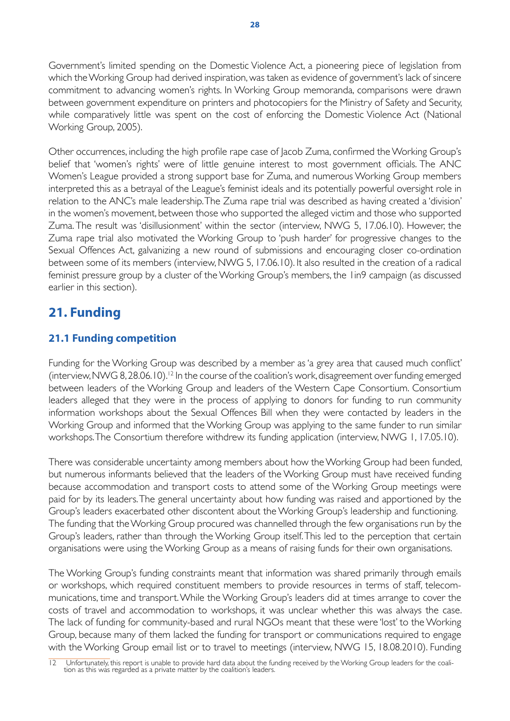Government's limited spending on the Domestic Violence Act, a pioneering piece of legislation from which the Working Group had derived inspiration, was taken as evidence of government's lack of sincere commitment to advancing women's rights. In Working Group memoranda, comparisons were drawn between government expenditure on printers and photocopiers for the Ministry of Safety and Security, while comparatively little was spent on the cost of enforcing the Domestic Violence Act (National Working Group, 2005).

Other occurrences, including the high profile rape case of Jacob Zuma, confirmed the Working Group's belief that 'women's rights' were of little genuine interest to most government officials. The ANC Women's League provided a strong support base for Zuma, and numerous Working Group members interpreted this as a betrayal of the League's feminist ideals and its potentially powerful oversight role in relation to the ANC's male leadership. The Zuma rape trial was described as having created a 'division' in the women's movement, between those who supported the alleged victim and those who supported Zuma. The result was 'disillusionment' within the sector (interview, NWG 5, 17.06.10). However, the Zuma rape trial also motivated the Working Group to 'push harder' for progressive changes to the Sexual Offences Act, galvanizing a new round of submissions and encouraging closer co-ordination between some of its members (interview, NWG 5, 17.06.10). It also resulted in the creation of a radical feminist pressure group by a cluster of the Working Group's members, the lin9 campaign (as discussed earlier in this section).

# 21. Funding

### **21.1 Funding competition**

Funding for the Working Group was described by a member as 'a grey area that caused much conflict' (interview, NWG 8, 28.06.10).<sup>12</sup> In the course of the coalition's work, disagreement over funding emerged between leaders of the Working Group and leaders of the Western Cape Consortium. Consortium leaders alleged that they were in the process of applying to donors for funding to run community information workshops about the Sexual Offences Bill when they were contacted by leaders in the Working Group and informed that the Working Group was applying to the same funder to run similar workshops. The Consortium therefore withdrew its funding application (interview, NWG 1, 17.05.10).

There was considerable uncertainty among members about how the Working Group had been funded, but numerous informants believed that the leaders of the Working Group must have received funding because accommodation and transport costs to attend some of the Working Group meetings were paid for by its leaders. The general uncertainty about how funding was raised and apportioned by the Group's leaders exacerbated other discontent about the Working Group's leadership and functioning. The funding that the Working Group procured was channelled through the few organisations run by the Group's leaders, rather than through the Working Group itself. This led to the perception that certain organisations were using the Working Group as a means of raising funds for their own organisations.

The Working Group's funding constraints meant that information was shared primarily through emails or workshops, which required constituent members to provide resources in terms of staff, telecommunications, time and transport. While the Working Group's leaders did at times arrange to cover the costs of travel and accommodation to workshops, it was unclear whether this was always the case. The lack of funding for community-based and rural NGOs meant that these were 'lost' to the Working Group, because many of them lacked the funding for transport or communications required to engage with the Working Group email list or to travel to meetings (interview, NWG 15, 18.08.2010). Funding

Unfortunately this report is unable to provide hard data about the funding received by the Working Group leaders for the coalition as this was regarded as a private matter by the coalition's leaders.  $\overline{12}$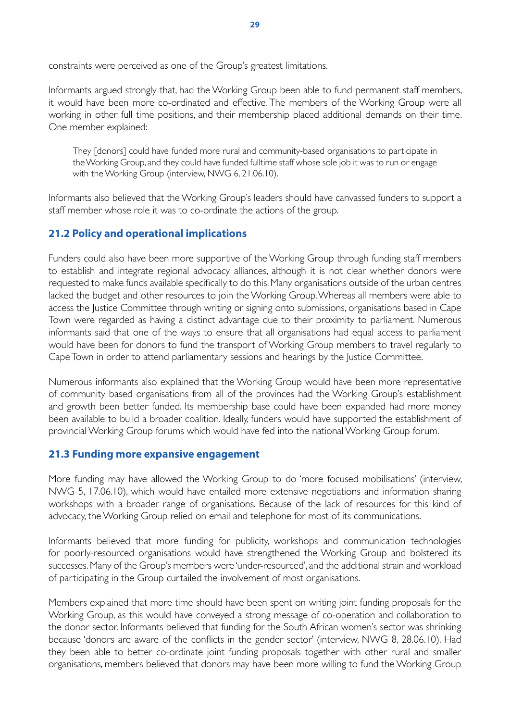constraints were perceived as one of the Group's greatest limitations.

Informants argued strongly that, had the Working Group been able to fund permanent staff members, it would have been more co-ordinated and effective. The members of the Working Group were all working in other full time positions, and their membership placed additional demands on their time. One member explained:

They [donors] could have funded more rural and community-based organisations to participate in the Working Group, and they could have funded fulltime staff whose sole job it was to run or engage with the Working Group (interview, NWG 6, 21.06.10).

Informants also believed that the Working Group's leaders should have canvassed funders to support a staff member whose role it was to co-ordinate the actions of the group.

#### **21.2 Policy and operational implications**

Funders could also have been more supportive of the Working Group through funding staff members to establish and integrate regional advocacy alliances, although it is not clear whether donors were requested to make funds available specifically to do this. Many organisations outside of the urban centres lacked the budget and other resources to join the Working Group. Whereas all members were able to access the Justice Committee through writing or signing onto submissions, organisations based in Cape Town were regarded as having a distinct advantage due to their proximity to parliament. Numerous informants said that one of the ways to ensure that all organisations had equal access to parliament would have been for donors to fund the transport of Working Group members to travel regularly to Cape Town in order to attend parliamentary sessions and hearings by the Justice Committee.

Numerous informants also explained that the Working Group would have been more representative of community based organisations from all of the provinces had the Working Group's establishment and growth been better funded. Its membership base could have been expanded had more money been available to build a broader coalition. Ideally, funders would have supported the establishment of provincial Working Group forums which would have fed into the national Working Group forum.

#### **21.3 Funding more expansive engagement**

More funding may have allowed the Working Group to do 'more focused mobilisations' (interview, NWG 5, 17.06.10), which would have entailed more extensive negotiations and information sharing workshops with a broader range of organisations. Because of the lack of resources for this kind of advocacy, the Working Group relied on email and telephone for most of its communications.

Informants believed that more funding for publicity, workshops and communication technologies for poorly-resourced organisations would have strengthened the Working Group and bolstered its successes. Many of the Group's members were 'under-resourced', and the additional strain and workload of participating in the Group curtailed the involvement of most organisations.

Members explained that more time should have been spent on writing joint funding proposals for the Working Group, as this would have conveyed a strong message of co-operation and collaboration to the donor sector. Informants believed that funding for the South African women's sector was shrinking because 'donors are aware of the conflicts in the gender sector' (interview, NWG 8, 28.06.10). Had they been able to better co-ordinate joint funding proposals together with other rural and smaller organisations, members believed that donors may have been more willing to fund the Working Group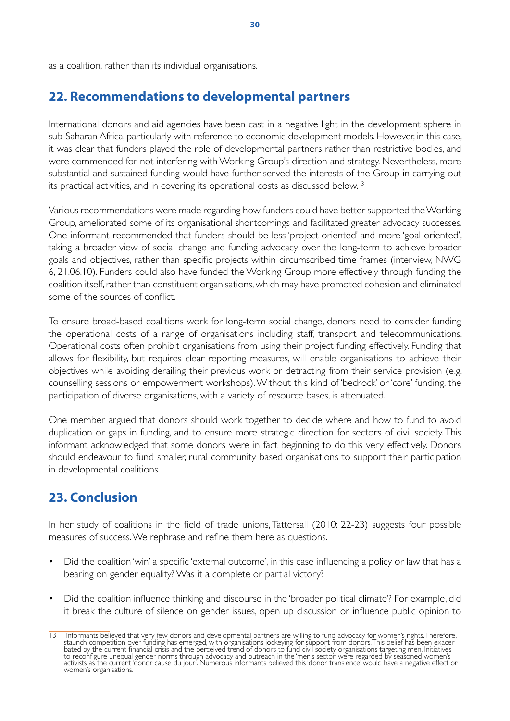as a coalition, rather than its individual organisations.

### 22. Recommendations to developmental partners

International donors and aid agencies have been cast in a negative light in the development sphere in sub-Saharan Africa, particularly with reference to economic development models. However, in this case, it was clear that funders played the role of developmental partners rather than restrictive bodies, and were commended for not interfering with Working Group's direction and strategy. Nevertheless, more substantial and sustained funding would have further served the interests of the Group in carrying out its practical activities, and in covering its operational costs as discussed below.<sup>13</sup>

Various recommendations were made regarding how funders could have better supported the Working Group, ameliorated some of its organisational shortcomings and facilitated greater advocacy successes. One informant recommended that funders should be less 'project-oriented' and more 'goal-oriented', taking a broader view of social change and funding advocacy over the long-term to achieve broader goals and objectives, rather than specific projects within circumscribed time frames (interview, NWG 6, 21.06.10). Funders could also have funded the Working Group more effectively through funding the coalition itself, rather than constituent organisations, which may have promoted cohesion and eliminated some of the sources of conflict.

To ensure broad-based coalitions work for long-term social change, donors need to consider funding the operational costs of a range of organisations including staff, transport and telecommunications. Operational costs often prohibit organisations from using their project funding effectively. Funding that allows for flexibility, but requires clear reporting measures, will enable organisations to achieve their objectives while avoiding derailing their previous work or detracting from their service provision (e.g. counselling sessions or empowerment workshops). Without this kind of 'bedrock' or 'core' funding, the participation of diverse organisations, with a variety of resource bases, is attenuated.

One member argued that donors should work together to decide where and how to fund to avoid duplication or gaps in funding, and to ensure more strategic direction for sectors of civil society. This informant acknowledged that some donors were in fact beginning to do this very effectively. Donors should endeavour to fund smaller, rural community based organisations to support their participation in developmental coalitions.

# **23. Conclusion**

In her study of coalitions in the field of trade unions, Tattersall (2010: 22-23) suggests four possible measures of success. We rephrase and refine them here as questions.

- Did the coalition 'win' a specific 'external outcome', in this case influencing a policy or law that has a bearing on gender equality? Was it a complete or partial victory?
- Did the coalition influence thinking and discourse in the 'broader political climate'? For example, did it break the culture of silence on gender issues, open up discussion or influence public opinion to

If a unformants believed that very few donors and developmental partners are willing to fund advocacy for women's rights. Therefore, staunch competition over funding has emerged, with organisations jockeying for support fr women's organisations.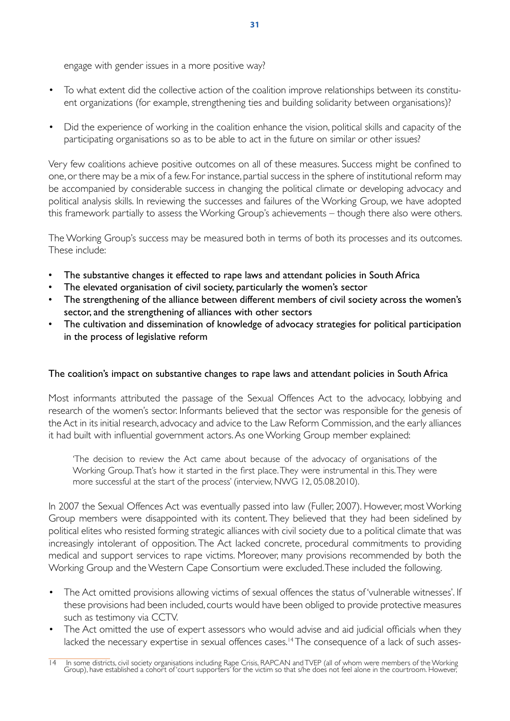engage with gender issues in a more positive way?

- To what extent did the collective action of the coalition improve relationships between its constituent organizations (for example, strengthening ties and building solidarity between organisations)?
- Did the experience of working in the coalition enhance the vision, political skills and capacity of the participating organisations so as to be able to act in the future on similar or other issues?

Very few coalitions achieve positive outcomes on all of these measures. Success might be confined to one, or there may be a mix of a few. For instance, partial success in the sphere of institutional reform may be accompanied by considerable success in changing the political climate or developing advocacy and political analysis skills, In reviewing the successes and failures of the Working Group, we have adopted this framework partially to assess the Working Group's achievements – though there also were others.

The Working Group's success may be measured both in terms of both its processes and its outcomes. These include:

- The substantive changes it effected to rape laws and attendant policies in South Africa
- The elevated organisation of civil society, particularly the women's sector
- The strengthening of the alliance between different members of civil society across the women's sector, and the strengthening of alliances with other sectors
- The cultivation and dissemination of knowledge of advocacy strategies for political participation in the process of legislative reform

#### The coalition's impact on substantive changes to rape laws and attendant policies in South Africa

Most informants attributed the passage of the Sexual Offences Act to the advocacy, lobbying and research of the women's sector. Informants believed that the sector was responsible for the genesis of the Act in its initial research, advocacy and advice to the Law Reform Commission, and the early alliances it had built with influential government actors. As one Working Group member explained:

'The decision to review the Act came about because of the advocacy of organisations of the Working Group. That's how it started in the first place. They were instrumental in this. They were more successful at the start of the process' (interview, NWG 12, 05.08.2010).

In 2007 the Sexual Offences Act was eventually passed into law (Fuller, 2007). However, most Working Group members were disappointed with its content. They believed that they had been sidelined by political elites who resisted forming strategic alliances with civil society due to a political climate that was increasingly intolerant of opposition. The Act lacked concrete, procedural commitments to providing medical and support services to rape victims. Moreover, many provisions recommended by both the Working Group and the Western Cape Consortium were excluded. These included the following.

- The Act omitted provisions allowing victims of sexual offences the status of 'vulnerable witnesses'. If these provisions had been included, courts would have been obliged to provide protective measures such as testimony via CCTV.
- The Act omitted the use of expert assessors who would advise and aid judicial officials when they lacked the necessary expertise in sexual offences cases.<sup>14</sup> The consequence of a lack of such asses-

I4 In some districts, civil society organisations including Rape Crisis, RAPCAN and TVEP (all of whom were members of the Working<br>Group), have established a cohort of 'court supporters' for the victim so that s/he does not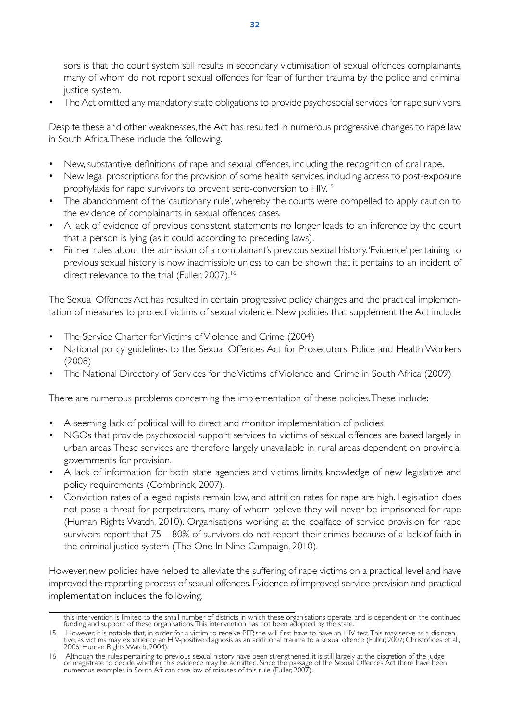sors is that the court system still results in secondary victimisation of sexual offences complainants, many of whom do not report sexual offences for fear of further trauma by the police and criminal justice system.

The Act omitted any mandatory state obligations to provide psychosocial services for rape survivors.

Despite these and other weaknesses, the Act has resulted in numerous progressive changes to rape law in South Africa. These include the following.

- New, substantive definitions of rape and sexual offences, including the recognition of oral rape.  $\bullet$
- New legal proscriptions for the provision of some health services, including access to post-exposure prophylaxis for rape survivors to prevent sero-conversion to HIV.<sup>15</sup>
- The abandonment of the 'cautionary rule', whereby the courts were compelled to apply caution to the evidence of complainants in sexual offences cases.
- A lack of evidence of previous consistent statements no longer leads to an inference by the court that a person is lying (as it could according to preceding laws).
- Firmer rules about the admission of a complainant's previous sexual history. 'Evidence' pertaining to previous sexual history is now inadmissible unless to can be shown that it pertains to an incident of direct relevance to the trial (Fuller, 2007).<sup>16</sup>

The Sexual Offences Act has resulted in certain progressive policy changes and the practical implementation of measures to protect victims of sexual violence. New policies that supplement the Act include:

- The Service Charter for Victims of Violence and Crime (2004)
- National policy guidelines to the Sexual Offences Act for Prosecutors, Police and Health Workers  $(2008)$
- The National Directory of Services for the Victims of Violence and Crime in South Africa (2009)

There are numerous problems concerning the implementation of these policies. These include:

- A seeming lack of political will to direct and monitor implementation of policies
- NGOs that provide psychosocial support services to victims of sexual offences are based largely in urban areas. These services are therefore largely unavailable in rural areas dependent on provincial governments for provision.
- A lack of information for both state agencies and victims limits knowledge of new legislative and policy requirements (Combrinck, 2007).
- Conviction rates of alleged rapists remain low, and attrition rates for rape are high. Legislation does not pose a threat for perpetrators, many of whom believe they will never be imprisoned for rape (Human Rights Watch, 2010). Organisations working at the coalface of service provision for rape survivors report that 75 - 80% of survivors do not report their crimes because of a lack of faith in the criminal justice system (The One In Nine Campaign, 2010).

However, new policies have helped to alleviate the suffering of rape victims on a practical level and have improved the reporting process of sexual offences. Evidence of improved service provision and practical implementation includes the following.

this intervention is limited to the small number of districts in which these organisations operate, and is dependent on the continued funding and support of these organisations. This intervention has not been adopted by the state.

<sup>15</sup> However, it is notable that, in order for a victim to receive PEP, she will first have to have an HIV test. This may serve as a disincentive, as victims may experience an HIV-positive diagnosis as an additional trauma t

<sup>16</sup> Although the rules pertaining to previous sexual history have been strengthened, it is still largely at the discretion of the judge<br>or magistrate to decide whether this evidence may be admitted. Since the passage of the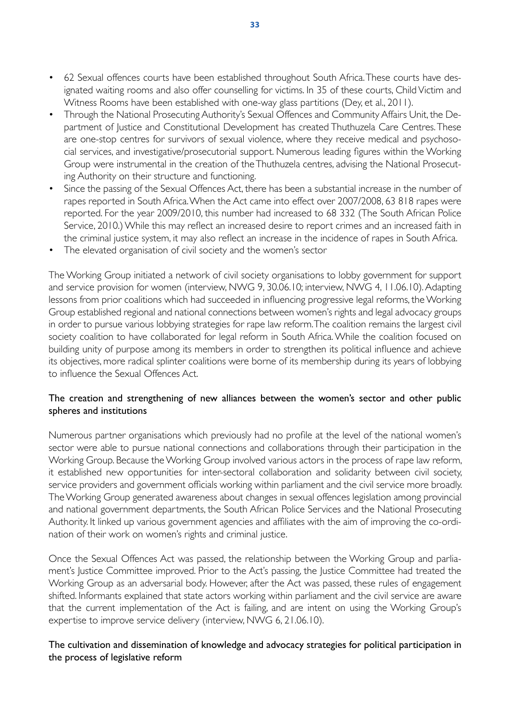- 62 Sexual offences courts have been established throughout South Africa. These courts have designated waiting rooms and also offer counselling for victims. In 35 of these courts, Child Victim and Witness Rooms have been established with one-way glass partitions (Dey, et al., 2011).
- Through the National Prosecuting Authority's Sexual Offences and Community Affairs Unit, the Department of Justice and Constitutional Development has created Thuthuzela Care Centres. These are one-stop centres for survivors of sexual violence, where they receive medical and psychosocial services, and investigative/prosecutorial support. Numerous leading figures within the Working Group were instrumental in the creation of the Thuthuzela centres, advising the National Prosecuting Authority on their structure and functioning.
- Since the passing of the Sexual Offences Act, there has been a substantial increase in the number of rapes reported in South Africa. When the Act came into effect over 2007/2008, 63 818 rapes were reported. For the year 2009/2010, this number had increased to 68 332 (The South African Police Service, 2010.) While this may reflect an increased desire to report crimes and an increased faith in the criminal justice system, it may also reflect an increase in the incidence of rapes in South Africa.
- The elevated organisation of civil society and the women's sector

The Working Group initiated a network of civil society organisations to lobby government for support and service provision for women (interview, NWG 9, 30.06.10; interview, NWG 4, 11.06.10). Adapting lessons from prior coalitions which had succeeded in influencing progressive legal reforms, the Working Group established regional and national connections between women's rights and legal advocacy groups in order to pursue various lobbying strategies for rape law reform. The coalition remains the largest civil society coalition to have collaborated for legal reform in South Africa. While the coalition focused on building unity of purpose among its members in order to strengthen its political influence and achieve its objectives, more radical splinter coalitions were borne of its membership during its years of lobbying to influence the Sexual Offences Act.

#### The creation and strengthening of new alliances between the women's sector and other public spheres and institutions

Numerous partner organisations which previously had no profile at the level of the national women's sector were able to pursue national connections and collaborations through their participation in the Working Group. Because the Working Group involved various actors in the process of rape law reform, it established new opportunities for inter-sectoral collaboration and solidarity between civil society, service providers and government officials working within parliament and the civil service more broadly. The Working Group generated awareness about changes in sexual offences legislation among provincial and national government departments, the South African Police Services and the National Prosecuting Authority. It linked up various government agencies and affiliates with the aim of improving the co-ordination of their work on women's rights and criminal justice.

Once the Sexual Offences Act was passed, the relationship between the Working Group and parliament's Justice Committee improved. Prior to the Act's passing, the Justice Committee had treated the Working Group as an adversarial body. However, after the Act was passed, these rules of engagement shifted. Informants explained that state actors working within parliament and the civil service are aware that the current implementation of the Act is failing, and are intent on using the Working Group's expertise to improve service delivery (interview, NWG 6, 21.06.10).

#### The cultivation and dissemination of knowledge and advocacy strategies for political participation in the process of legislative reform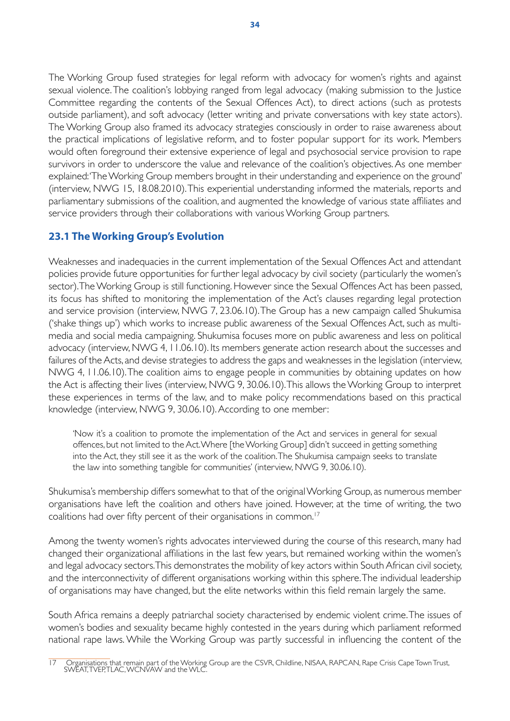The Working Group fused strategies for legal reform with advocacy for women's rights and against sexual violence. The coalition's lobbying ranged from legal advocacy (making submission to the Justice Committee regarding the contents of the Sexual Offences Act), to direct actions (such as protests outside parliament), and soft advocacy (letter writing and private conversations with key state actors). The Working Group also framed its advocacy strategies consciously in order to raise awareness about the practical implications of legislative reform, and to foster popular support for its work. Members would often foreground their extensive experience of legal and psychosocial service provision to rape survivors in order to underscore the value and relevance of the coalition's objectives. As one member explained: 'The Working Group members brought in their understanding and experience on the ground' (interview, NWG 15, 18.08.2010). This experiential understanding informed the materials, reports and barliamentary submissions of the coalition, and augmented the knowledge of various state affiliates and service providers through their collaborations with various Working Group partners.

### **23.1 The Working Group's Evolution**

Weaknesses and inadequacies in the current implementation of the Sexual Offences Act and attendant policies provide future opportunities for further legal advocacy by civil society (particularly the women's sector). The Working Group is still functioning. However since the Sexual Offences Act has been passed, its focus has shifted to monitoring the implementation of the Act's clauses regarding legal protection and service provision (interview, NWG 7, 23.06.10). The Group has a new campaign called Shukumisa ('shake things up') which works to increase public awareness of the Sexual Offences Act, such as multimedia and social media campaigning. Shukumisa focuses more on public awareness and less on political advocacy (interview, NWG 4, 11.06.10). Its members generate action research about the successes and failures of the Acts, and devise strategies to address the gaps and weaknesses in the legislation (interview, NWG 4, 11.06.10). The coalition aims to engage people in communities by obtaining updates on how the Act is affecting their lives (interview, NWG 9, 30.06.10). This allows the Working Group to interpret these experiences in terms of the law, and to make policy recommendations based on this practical knowledge (interview, NWG 9, 30.06.10). According to one member:

'Now it's a coalition to promote the implementation of the Act and services in general for sexual offences, but not limited to the Act. Where [the Working Group] didn't succeed in getting something into the Act, they still see it as the work of the coalition. The Shukumisa campaign seeks to translate the law into something tangible for communities' (interview, NWG 9, 30.06.10).

Shukumisa's membership differs somewhat to that of the original Working Group, as numerous member organisations have left the coalition and others have joined. However, at the time of writing, the two coalitions had over fifty percent of their organisations in common.<sup>17</sup>

Among the twenty women's rights advocates interviewed during the course of this research, many had changed their organizational affiliations in the last few years, but remained working within the women's and legal advocacy sectors. This demonstrates the mobility of key actors within South African civil society, and the interconnectivity of different organisations working within this sphere. The individual leadership of organisations may have changed, but the elite networks within this field remain largely the same.

South Africa remains a deeply patriarchal society characterised by endemic violent crime. The issues of women's bodies and sexuality became highly contested in the years during which parliament reformed national rape laws. While the Working Group was partly successful in influencing the content of the

<sup>17</sup> Organisations that remain part of the Working Group are the CSVR, Childline, NISAA, RAPCAN, Rape Crisis Cape Town Trust. SWEAT,TVEP,TLAC,WCNVAW and the WLC.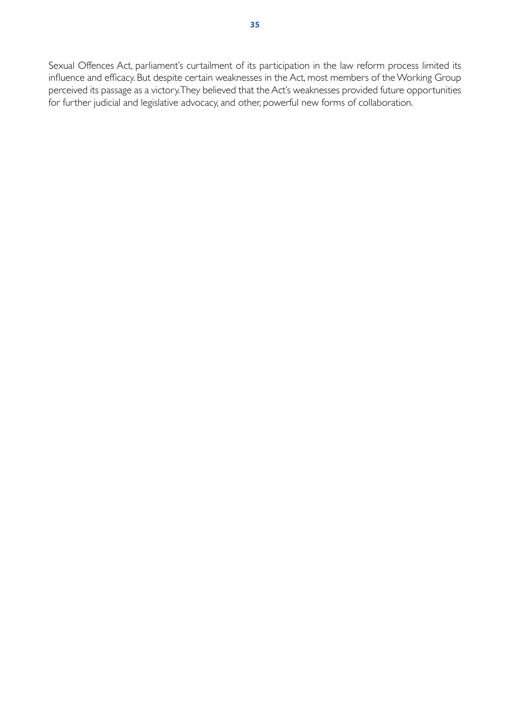Sexual Offences Act, parliament's curtailment of its participation in the law reform process limited its influence and efficacy. But despite certain weaknesses in the Act, most members of the Working Group perceived its passage as a victory. They believed that the Act's weaknesses provided future opportunities for further judicial and legislative advocacy, and other, powerful new forms of collaboration.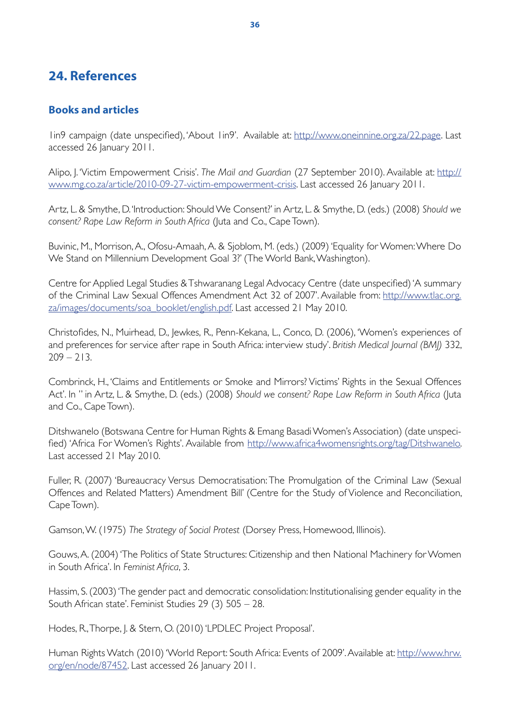### 24. References

#### **Books and articles**

lin9 campaign (date unspecified), 'About lin9'. Available at: http://www.oneinnine.org.za/22.page. Last accessed 26 January 2011.

Alipo, J. Victim Empowerment Crisis'. The Mail and Guardian (27 September 2010). Available at: http:// www.mg.co.za/article/2010-09-27-victim-empowerment-crisis. Last accessed 26 January 2011.

Artz, L. & Smythe, D. 'Introduction: Should We Consent?' in Artz, L. & Smythe, D. (eds.) (2008) Should we consent? Rape Law Reform in South Africa (luta and Co., Cape Town).

Buvinic, M., Morrison, A., Ofosu-Amaah, A. & Sjoblom, M. (eds.) (2009) 'Equality for Women: Where Do We Stand on Millennium Development Goal 3?' (The World Bank, Washington).

Centre for Applied Legal Studies & Tshwaranang Legal Advocacy Centre (date unspecified) 'A summary of the Criminal Law Sexual Offences Amendment Act 32 of 2007'. Available from: http://www.tlac.org. za/images/documents/soa\_booklet/english.pdf. Last accessed 21 May 2010.

Christofides, N., Muirhead, D., Jewkes, R., Penn-Kekana, L., Conco, D. (2006), 'Women's experiences of and preferences for service after rape in South Africa: interview study'. British Medical Journal (BMI) 332,  $209 - 213.$ 

Combrinck, H., 'Claims and Entitlements or Smoke and Mirrors? Victims' Rights in the Sexual Offences Act'. In " in Artz, L. & Smythe, D. (eds.) (2008) Should we consent? Rape Law Reform in South Africa (Juta and Co., Cape Town).

Ditshwanelo (Botswana Centre for Human Rights & Emang Basadi Women's Association) (date unspecified) 'Africa For Women's Rights'. Available from http://www.africa4womensrights.org/tag/Ditshwanelo. Last accessed 21 May 2010.

Fuller, R. (2007) 'Bureaucracy Versus Democratisation: The Promulgation of the Criminal Law (Sexual Offences and Related Matters) Amendment Bill' (Centre for the Study of Violence and Reconciliation, Cape Town).

Gamson, W. (1975) The Strategy of Social Protest (Dorsey Press, Homewood, Illinois).

Gouws, A. (2004) 'The Politics of State Structures: Citizenship and then National Machinery for Women in South Africa', In Feminist Africa, 3.

Hassim, S. (2003) 'The gender pact and democratic consolidation: Institutionalising gender equality in the South African state'. Feminist Studies 29 (3) 505 - 28.

Hodes, R., Thorpe, J. & Stern, O. (2010) 'LPDLEC Project Proposal'.

Human Rights Watch (2010) 'World Report: South Africa: Events of 2009'. Available at: http://www.hrw. org/en/node/87452. Last accessed 26 January 2011.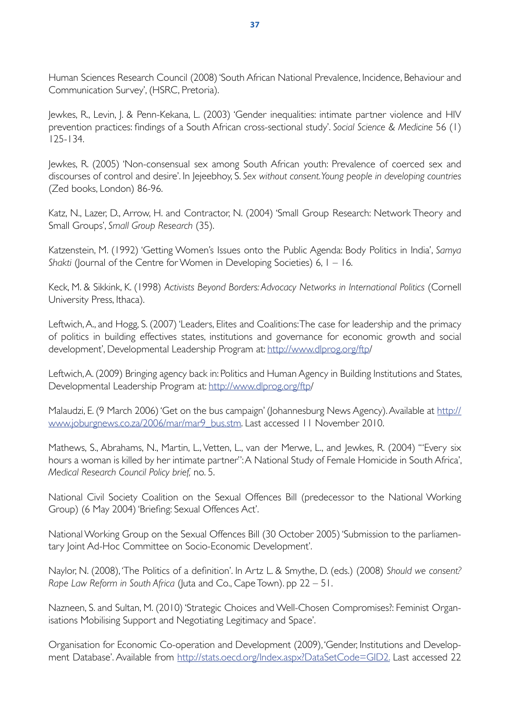Human Sciences Research Council (2008) 'South African National Prevalence, Incidence, Behaviour and Communication Survey', (HSRC, Pretoria).

Jewkes, R., Levin, J. & Penn-Kekana, L. (2003) 'Gender inequalities: intimate partner violence and HIV prevention practices: findings of a South African cross-sectional study', Social Science & Medicine 56 (1)  $125 - 134$ 

Jewkes, R. (2005) 'Non-consensual sex among South African youth: Prevalence of coerced sex and discourses of control and desire'. In Jejeebhoy, S. Sex without consent. Young people in developing countries (Zed books, London) 86-96.

Katz, N., Lazer, D., Arrow, H. and Contractor, N. (2004) 'Small Group Research: Network Theory and Small Groups', Small Group Research (35).

Katzenstein, M. (1992) 'Getting Women's Issues onto the Public Agenda: Body Politics in India', Samya Shakti (Journal of the Centre for Women in Developing Societies)  $6, 1 - 16$ .

Keck, M. & Sikkink, K. (1998) Activists Beyond Borders: Advocacy Networks in International Politics (Cornell University Press, Ithaca).

Leftwich, A., and Hogg, S. (2007) 'Leaders, Elites and Coalitions: The case for leadership and the primacy of politics in building effectives states, institutions and governance for economic growth and social development', Developmental Leadership Program at: http://www.dlprog.org/ftp/

Leftwich, A. (2009) Bringing agency back in: Politics and Human Agency in Building Institutions and States, Developmental Leadership Program at: http://www.dlprog.org/ftp/

Malaudzi, E. (9 March 2006) 'Get on the bus campaign' (Johannesburg News Agency). Available at http:// www.joburgnews.co.za/2006/mar/mar9\_bus.stm. Last accessed 11 November 2010.

Mathews, S., Abrahams, N., Martin, L., Vetten, L., van der Merwe, L., and Jewkes, R. (2004) "'Every six hours a woman is killed by her intimate partner": A National Study of Female Homicide in South Africa', Medical Research Council Policy brief, no. 5.

National Civil Society Coalition on the Sexual Offences Bill (predecessor to the National Working Group) (6 May 2004) 'Briefing: Sexual Offences Act'.

National Working Group on the Sexual Offences Bill (30 October 2005) 'Submission to the parliamentary Joint Ad-Hoc Committee on Socio-Economic Development'.

Naylor, N. (2008), 'The Politics of a definition'. In Artz L. & Smythe, D. (eds.) (2008) Should we consent? Rape Law Reform in South Africa (Juta and Co., Cape Town). pp 22 - 51.

Nazneen, S. and Sultan, M. (2010) 'Strategic Choices and Well-Chosen Compromises?: Feminist Organisations Mobilising Support and Negotiating Legitimacy and Space'.

Organisation for Economic Co-operation and Development (2009), Gender, Institutions and Development Database'. Available from http://stats.oecd.org/Index.aspx?DataSetCode=GID2. Last accessed 22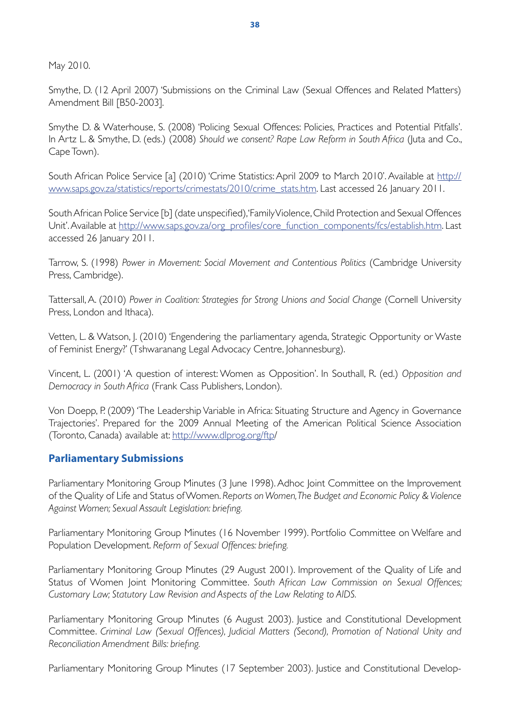May 2010.

Smythe, D. (12 April 2007) 'Submissions on the Criminal Law (Sexual Offences and Related Matters) Amendment Bill [B50-2003].

Smythe D. & Waterhouse, S. (2008) 'Policing Sexual Offences: Policies, Practices and Potential Pitfalls'. In Artz L. & Smythe, D. (eds.) (2008) Should we consent? Rape Law Reform in South Africa (luta and Co.. Cape Town).

South African Police Service [a] (2010) 'Crime Statistics: April 2009 to March 2010'. Available at http:// www.saps.gov.za/statistics/reports/crimestats/2010/crime\_stats.htm. Last accessed 26 January 2011.

South African Police Service [b] (date unspecified), 'Family Violence, Child Protection and Sexual Offences Unit'. Available at http://www.saps.gov.za/org\_profiles/core\_function\_components/fcs/establish.htm. Last accessed 26 January 2011.

Tarrow, S. (1998) Power in Movement: Social Movement and Contentious Politics (Cambridge University Press, Cambridge).

Tattersall, A. (2010) Power in Coalition: Strategies for Strong Unions and Social Change (Cornell University Press, London and Ithaca).

Vetten, L. & Watson, J. (2010) 'Engendering the parliamentary agenda, Strategic Opportunity or Waste of Feminist Energy?' (Tshwaranang Legal Advocacy Centre, Johannesburg).

Vincent, L. (2001) 'A question of interest: Women as Opposition'. In Southall, R. (ed.) Opposition and *Democracy in South Africa* (Frank Cass Publishers, London).

Von Doepp, P. (2009) 'The Leadership Variable in Africa: Situating Structure and Agency in Governance Trajectories'. Prepared for the 2009 Annual Meeting of the American Political Science Association (Toronto, Canada) available at: http://www.dlprog.org/ftp/

#### **Parliamentary Submissions**

Parliamentary Monitoring Group Minutes (3 June 1998). Adhoc Joint Committee on the Improvement of the Quality of Life and Status of Women, Reports on Women, The Budget and Economic Policy & Violence Against Women; Sexual Assault Legislation: briefing.

Parliamentary Monitoring Group Minutes (16 November 1999). Portfolio Committee on Welfare and Population Development. Reform of Sexual Offences: briefing.

Parliamentary Monitoring Group Minutes (29 August 2001). Improvement of the Quality of Life and Status of Women Joint Monitoring Committee. South African Law Commission on Sexual Offences; *Customary Law; Statutory Law Revision and Aspects of the Law Relating to AIDS.* 

Parliamentary Monitoring Group Minutes (6 August 2003). Justice and Constitutional Development Committee. Criminal Law (Sexual Offences), Judicial Matters (Second), Promotion of National Unity and  $R$ econciliation Amendment Bills: briefing.

Parliamentary Monitoring Group Minutes (17 September 2003). Justice and Constitutional Develop-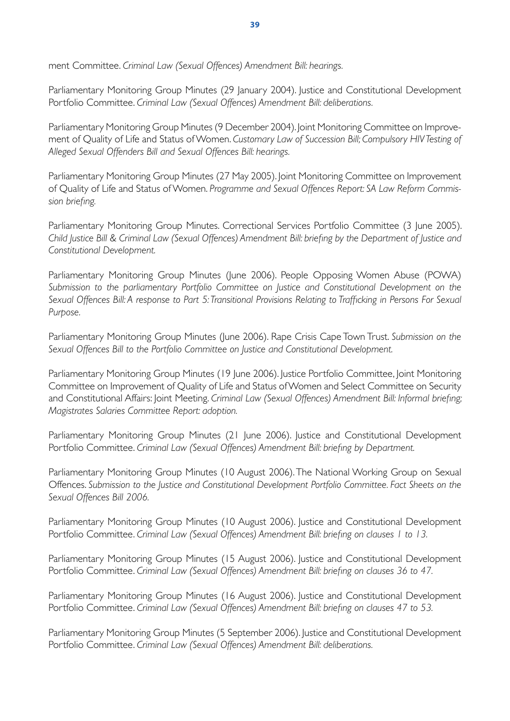ment Committee. Criminal Law (Sexual Offences) Amendment Bill: hearings.

Parliamentary Monitoring Group Minutes (29 January 2004). Justice and Constitutional Development Portfolio Committee. Criminal Law (Sexual Offences) Amendment Bill: deliberations.

Parliamentary Monitoring Group Minutes (9 December 2004), Joint Monitoring Committee on Improvement of Quality of Life and Status of Women. Customary Law of Succession Bill; Compulsory HIV Testing of *Alleged Sexual Offenders Bill and Sexual Offences Bill: hearings.* 

Parliamentary Monitoring Group Minutes (27 May 2005). Joint Monitoring Committee on Improvement of Quality of Life and Status of Women, Programme and Sexual Offences Report: SA Law Reform Commis $sion$  briefing.

Parliamentary Monitoring Group Minutes. Correctional Services Portfolio Committee (3 June 2005). Child Justice Bill & Criminal Law (Sexual Offences) Amendment Bill: briefing by the Department of Justice and *Constitutional Development.* 

Parliamentary Monitoring Group Minutes (June 2006). People Opposing Women Abuse (POWA) *Submission to the parliamentary Portfolio Committee on Justice and Constitutional Development on the Sexual Offences Bill: A response to Part 5: Transitional Provisions Relating to Trafficking in Persons For Sexual Purpose.* 

Parliamentary Monitoring Group Minutes (June 2006). Rape Crisis Cape Town Trust. Submission on the *Sexual Offences Bill to the Portfolio Committee on Justice and Constitutional Development.* 

Parliamentary Monitoring Group Minutes (19 June 2006). Justice Portfolio Committee, Joint Monitoring Committee on Improvement of Quality of Life and Status of Women and Select Committee on Security and Constitutional Affairs: Joint Meeting, Criminal Law (Sexual Offences) Amendment Bill: Informal briefing; *Magistrates Salaries Committee Report: adoption.* 

Parliamentary Monitoring Group Minutes (21 June 2006). Justice and Constitutional Development Portfolio Committee. Criminal Law (Sexual Offences) Amendment Bill: briefing by Department.

Parliamentary Monitoring Group Minutes (10 August 2006). The National Working Group on Sexual 500)&\*)6# *Submission to the Justice and Constitutional Development Portfolio Committee. Fact Sheets on the Sexual Offences Bill 2006.* 

Parliamentary Monitoring Group Minutes (10 August 2006). Justice and Constitutional Development Portfolio Committee. Criminal Law (Sexual Offences) Amendment Bill: briefing on clauses 1 to 13.

Parliamentary Monitoring Group Minutes (15 August 2006). Justice and Constitutional Development Portfolio Committee. Criminal Law (Sexual Offences) Amendment Bill: briefing on clauses 36 to 47.

Parliamentary Monitoring Group Minutes (16 August 2006), Justice and Constitutional Development Portfolio Committee. Criminal Law (Sexual Offences) Amendment Bill: briefing on clauses 47 to 53.

Parliamentary Monitoring Group Minutes (5 September 2006). Justice and Constitutional Development Portfolio Committee. *Criminal Law (Sexual Offences) Amendment Bill: deliberations.*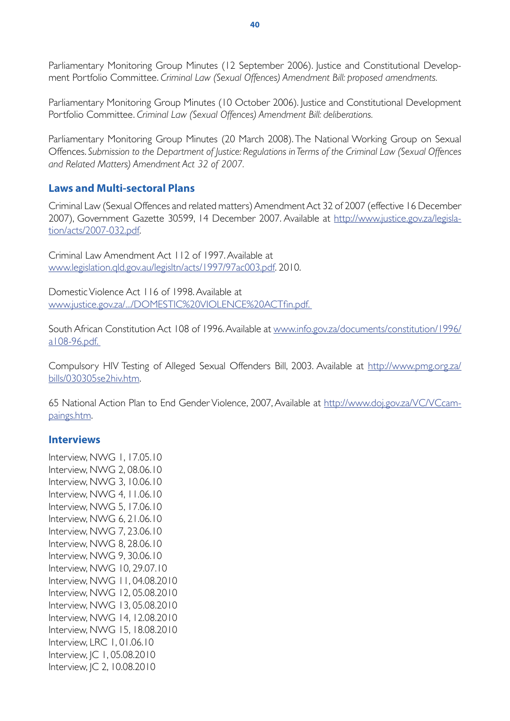Parliamentary Monitoring Group Minutes (12 September 2006). Justice and Constitutional Develop-?)&- ^/; -0/4+/ E/??+--))# *Criminal Law (Sexual Offences) Amendment Bill: proposed amendments.* 

Parliamentary Monitoring Group Minutes (10 October 2006). Justice and Constitutional Development Portfolio Committee. *Criminal Law (Sexual Offences) Amendment Bill: deliberations.* 

Parliamentary Monitoring Group Minutes (20 March 2008). The National Working Group on Sexual 500)&\*)6# *Submission to the Department of Justice: Regulations in Terms of the Criminal Law (Sexual Offences*  and Related Matters) Amendment Act 32 of 2007.

#### **Laws and Multi-sectoral Plans**

Criminal Law (Sexual Offences and related matters) Amendment Act 32 of 2007 (effective 16 December 2007), Government Gazette 30599, 14 December 2007. Available at http://www.justice.gov.za/legislation/acts/2007-032.pdf.

Criminal Law Amendment Act 112 of 1997. Available at www.legislation.gld.gov.au/legisltn/acts/1997/97ac003.pdf. 2010.

Domestic Violence Act 116 of 1998. Available at www.justice.gov.za/.../DOMESTIC%20VIOLENCE%20ACTfin.pdf.

South African Constitution Act 108 of 1996. Available at www.info.gov.za/documents/constitution/1996/ a108-96.pdf.

Compulsory HIV Testing of Alleged Sexual Offenders Bill, 2003. Available at http://www.pmg.org.za/ bills/030305se2hiv.htm.

65 National Action Plan to End Gender Violence, 2007, Available at http://www.doi.gov.za/VC/VCcam[paings.htm](http://www.doj.gov.za/VC/VCcampaings.htm).

#### **Interviews**

Interview, NWG 1, 17.05.10 Interview, NWG 2, 08.06.10 Interview, NWG 3, 10.06.10 Interview, NWG 4, 11.06.10 Interview, NWG 5, 17.06.10 Interview, NWG 6, 21.06.10 Interview, NWG 7, 23.06.10 Interview, NWG 8, 28.06.10 Interview, NWG 9, 30.06.10 Interview, NWG 10, 29.07.10 Interview, NWG 11, 04,08,2010 Interview, NWG 12, 05.08.2010 Interview, NWG 13, 05,08,2010 Interview, NWG 14, 12,08,2010 Interview, NWG 15, 18.08.2010 Interview, LRC 1, 01,06,10 Interview, IC 1, 05,08,2010 Interview, JC 2, 10.08.2010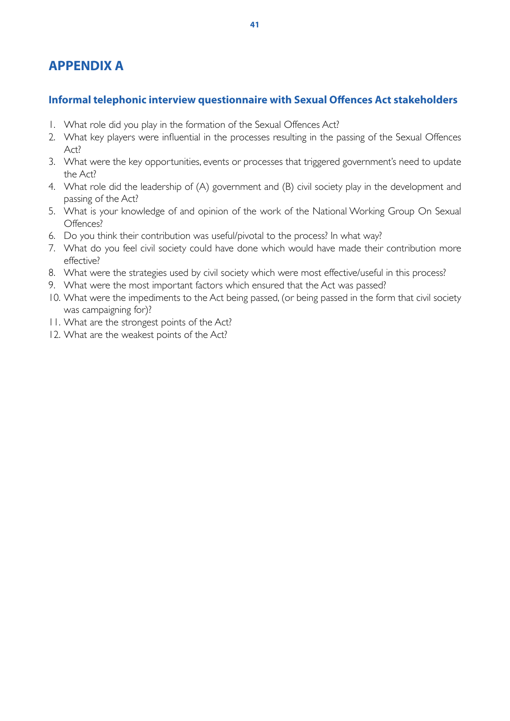# **APPFNDIX A**

### Informal telephonic interview questionnaire with Sexual Offences Act stakeholders

- I. What role did you play in the formation of the Sexual Offences Act?
- 2. What key players were influential in the processes resulting in the passing of the Sexual Offences Act?
- 3. What were the key opportunities, events or processes that triggered government's need to update the Act?
- 4. What role did the leadership of (A) government and (B) civil society play in the development and passing of the Act?
- 5. What is your knowledge of and opinion of the work of the National Working Group On Sexual Offences?
- 6. Do you think their contribution was useful/pivotal to the process? In what way?
- 7. What do you feel civil society could have done which would have made their contribution more effective?
- 8. What were the strategies used by civil society which were most effective/useful in this process?
- 9. What were the most important factors which ensured that the Act was passed?
- 10. What were the impediments to the Act being passed, (or being passed in the form that civil society was campaigning for)?
- II. What are the strongest points of the Act?
- 12. What are the weakest points of the Act?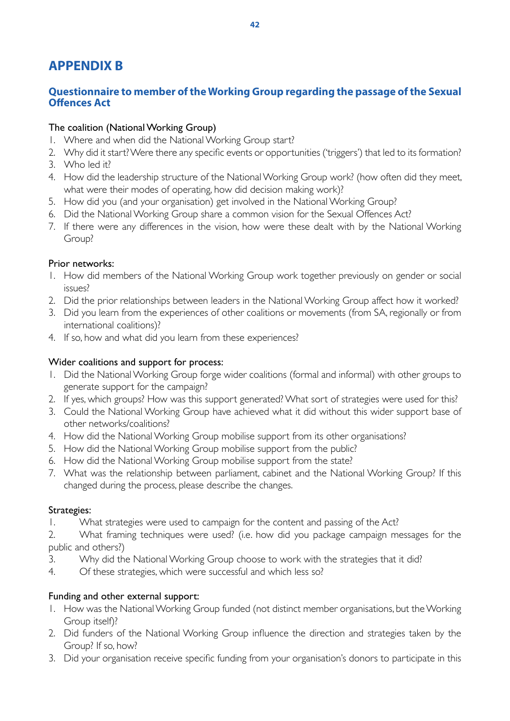# **APPENDIX B**

#### Questionnaire to member of the Working Group regarding the passage of the Sexual **Offences Act**

#### The coalition (National Working Group)

- I. Where and when did the National Working Group start?
- 2. Why did it start? Were there any specific events or opportunities ('triggers') that led to its formation?
- 3. Who led it?
- 4. How did the leadership structure of the National Working Group work? (how often did they meet, what were their modes of operating, how did decision making work)?
- 5. How did you (and your organisation) get involved in the National Working Group?
- 6. Did the National Working Group share a common vision for the Sexual Offences Act?
- 7. If there were any differences in the vision, how were these dealt with by the National Working Group?

#### Prior networks:

- 1. How did members of the National Working Group work together previously on gender or social  $iscules?$
- 2. Did the prior relationships between leaders in the National Working Group affect how it worked?
- 3. Did you learn from the experiences of other coalitions or movements (from SA, regionally or from international coalitions)?
- 4. If so, how and what did you learn from these experiences?

#### Wider coalitions and support for process:

- 1. Did the National Working Group forge wider coalitions (formal and informal) with other groups to generate support for the campaign?
- 2. If yes, which groups? How was this support generated? What sort of strategies were used for this?
- 3. Could the National Working Group have achieved what it did without this wider support base of other networks/coalitions?
- 4. How did the National Working Group mobilise support from its other organisations?
- 5. How did the National Working Group mobilise support from the public?
- 6. How did the National Working Group mobilise support from the state?
- 7. What was the relationship between parliament, cabinet and the National Working Group? If this changed during the process, please describe the changes.

#### Strategies:

 $\mathbf{L}$ What strategies were used to campaign for the content and passing of the Act?

 $2.$ What framing techniques were used? (i.e. how did you package campaign messages for the public and others?)

- Why did the National Working Group choose to work with the strategies that it did? 3.
- $\overline{4}$ Of these strategies, which were successful and which less so?

#### Funding and other external support:

- 1. How was the National Working Group funded (not distinct member organisations, but the Working Group itself)?
- 2. Did funders of the National Working Group influence the direction and strategies taken by the Group? If so, how?
- 3. Did your organisation receive specific funding from your organisation's donors to participate in this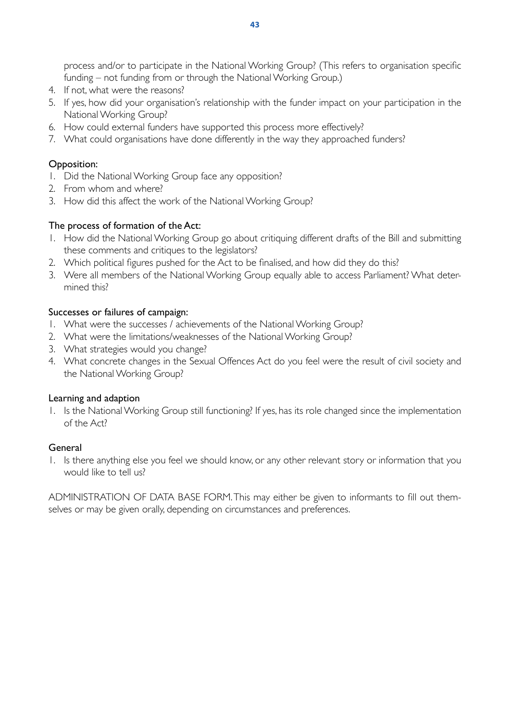process and/or to participate in the National Working Group? (This refers to organisation specific funding – not funding from or through the National Working Group.)

- 4. If not, what were the reasons?
- 5. If yes, how did your organisation's relationship with the funder impact on your participation in the National Working Group?
- 6. How could external funders have supported this process more effectively?
- 7. What could organisations have done differently in the way they approached funders?

#### Opposition:

- 1. Did the National Working Group face any opposition?
- 2. From whom and where?
- 3. How did this affect the work of the National Working Group?

#### The process of formation of the Act:

- 1. How did the National Working Group go about critiquing different drafts of the Bill and submitting these comments and critiques to the legislators?
- 2. Which political figures pushed for the Act to be finalised, and how did they do this?
- 3. Were all members of the National Working Group equally able to access Parliament? What determined this?

#### Successes or failures of campaign:

- 1. What were the successes / achievements of the National Working Group?
- 2. What were the limitations/weaknesses of the National Working Group?
- 3. What strategies would you change?
- 4. What concrete changes in the Sexual Offences Act do you feel were the result of civil society and the National Working Group?

#### Learning and adaption

1. Is the National Working Group still functioning? If yes, has its role changed since the implementation of the Act?

#### General

1. Is there anything else you feel we should know, or any other relevant story or information that you would like to tell us?

ADMINISTRATION OF DATA BASE FORM. This may either be given to informants to fill out themselves or may be given orally, depending on circumstances and preferences.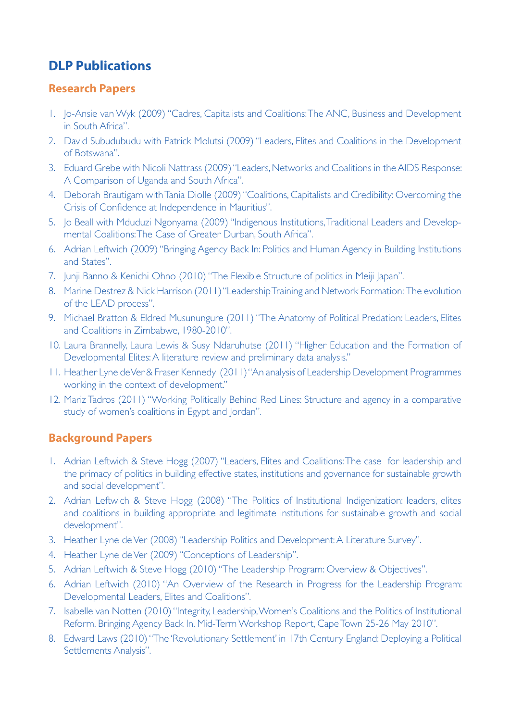# **DLP Publications**

### **Research Papers**

- 1. Jo-Ansie van Wyk (2009) "Cadres, Capitalists and Coalitions: The ANC, Business and Development in South Africa".
- 2. David Subudubudu with Patrick Molutsi (2009) "Leaders, Elites and Coalitions in the Development of Botswana".
- 3. Eduard Grebe with Nicoli Nattrass (2009) "Leaders, Networks and Coalitions in the AIDS Response: A Comparison of Uganda and South Africa".
- 4. Deborah Brautigam with Tania Diolle (2009) "Coalitions, Capitalists and Credibility: Overcoming the Crisis of Confidence at Independence in Mauritius".
- 5. Jo Beall with Mduduzi Ngonyama (2009) "Indigenous Institutions, Traditional Leaders and Developmental Coalitions: The Case of Greater Durban, South Africa".
- 6. Adrian Leftwich (2009) "Bringing Agency Back In: Politics and Human Agency in Building Institutions and States".
- 7. Junji Banno & Kenichi Ohno (2010) "The Flexible Structure of politics in Meiji Japan".
- 8. Marine Destrez & Nick Harrison (2011) "Leadership Training and Network Formation: The evolution of the LEAD process".
- 9. Michael Bratton & Eldred Musunungure (2011) "The Anatomy of Political Predation: Leaders, Elites and Coalitions in Zimbabwe, 1980-2010".
- 10. Laura Brannelly, Laura Lewis & Susy Ndaruhutse (2011) "Higher Education and the Formation of Developmental Elites: A literature review and preliminary data analysis."
- 11. Heather Lyne de Ver & Fraser Kennedy (2011) "An analysis of Leadership Development Programmes working in the context of development."
- 12. Mariz Tadros (2011) "Working Politically Behind Red Lines: Structure and agency in a comparative study of women's coalitions in Egypt and Jordan".

### **Background Papers**

- 1. Adrian Leftwich & Steve Hogg (2007) "Leaders, Elites and Coalitions: The case for leadership and the primacy of politics in building effective states, institutions and governance for sustainable growth and social development".
- 2. Adrian Leftwich & Steve Hogg (2008) "The Politics of Institutional Indigenization: leaders, elites and coalitions in building appropriate and legitimate institutions for sustainable growth and social development".
- 3. Heather Lyne de Ver (2008) "Leadership Politics and Development: A Literature Survey".
- 4. Heather Lyne de Ver (2009) "Conceptions of Leadership".
- 5. Adrian Leftwich & Steve Hogg (2010) "The Leadership Program: Overview & Objectives".
- 6. Adrian Leftwich (2010) "An Overview of the Research in Progress for the Leadership Program: Developmental Leaders, Elites and Coalitions".
- 7. Isabelle van Notten (2010) "Integrity, Leadership, Women's Coalitions and the Politics of Institutional Reform. Bringing Agency Back In. Mid-Term Workshop Report, Cape Town 25-26 May 2010".
- 8. Edward Laws (2010) "The 'Revolutionary Settlement' in 17th Century England: Deploying a Political Settlements Analysis".